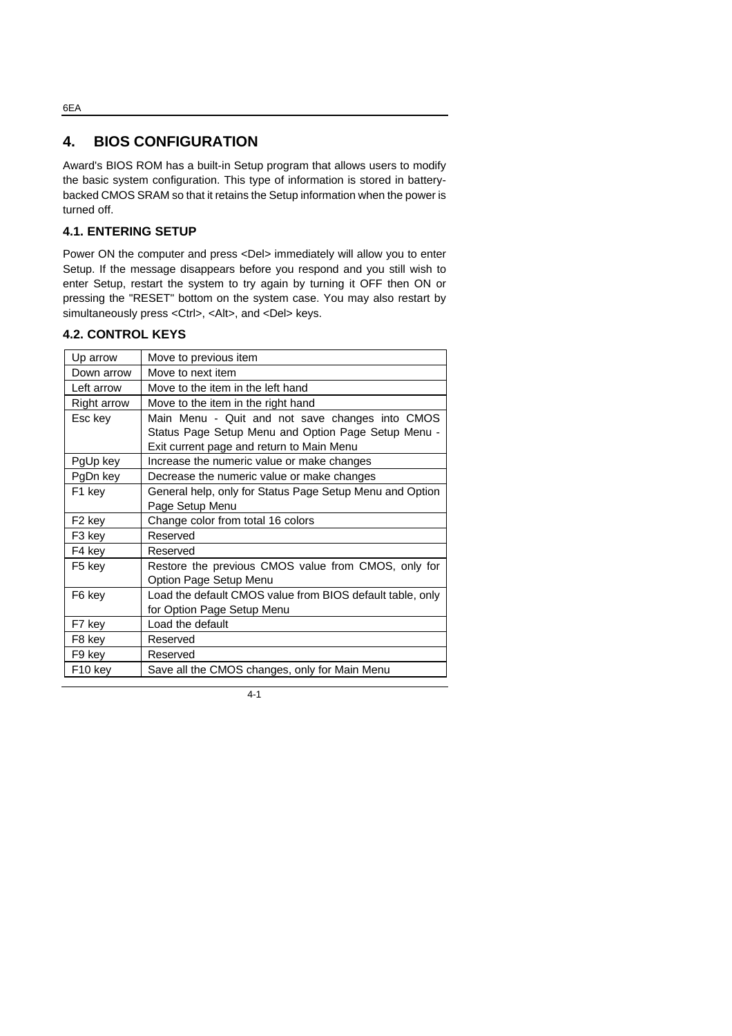## **4. BIOS CONFIGURATION**

Award's BIOS ROM has a built-in Setup program that allows users to modify the basic system configuration. This type of information is stored in batterybacked CMOS SRAM so that it retains the Setup information when the power is turned off.

## **4.1. ENTERING SETUP**

Power ON the computer and press <Del> immediately will allow you to enter Setup. If the message disappears before you respond and you still wish to enter Setup, restart the system to try again by turning it OFF then ON or pressing the "RESET" bottom on the system case. You may also restart by simultaneously press <Ctrl>, <Alt>, and <Del> keys.

#### **4.2. CONTROL KEYS**

| Up arrow            | Move to previous item                                     |
|---------------------|-----------------------------------------------------------|
| Down arrow          | Move to next item                                         |
| Left arrow          | Move to the item in the left hand                         |
| Right arrow         | Move to the item in the right hand                        |
| Esc key             | Main Menu - Quit and not save changes into CMOS           |
|                     | Status Page Setup Menu and Option Page Setup Menu -       |
|                     | Exit current page and return to Main Menu                 |
| PgUp key            | Increase the numeric value or make changes                |
| PgDn key            | Decrease the numeric value or make changes                |
| F1 key              | General help, only for Status Page Setup Menu and Option  |
|                     | Page Setup Menu                                           |
| F <sub>2</sub> key  | Change color from total 16 colors                         |
| F3 key              | Reserved                                                  |
| F4 key              | Reserved                                                  |
| F5 key              | Restore the previous CMOS value from CMOS, only for       |
|                     | Option Page Setup Menu                                    |
| F6 key              | Load the default CMOS value from BIOS default table, only |
|                     | for Option Page Setup Menu                                |
| F7 key              | Load the default                                          |
| F8 key              | Reserved                                                  |
| F9 key              | Reserved                                                  |
| F <sub>10</sub> key | Save all the CMOS changes, only for Main Menu             |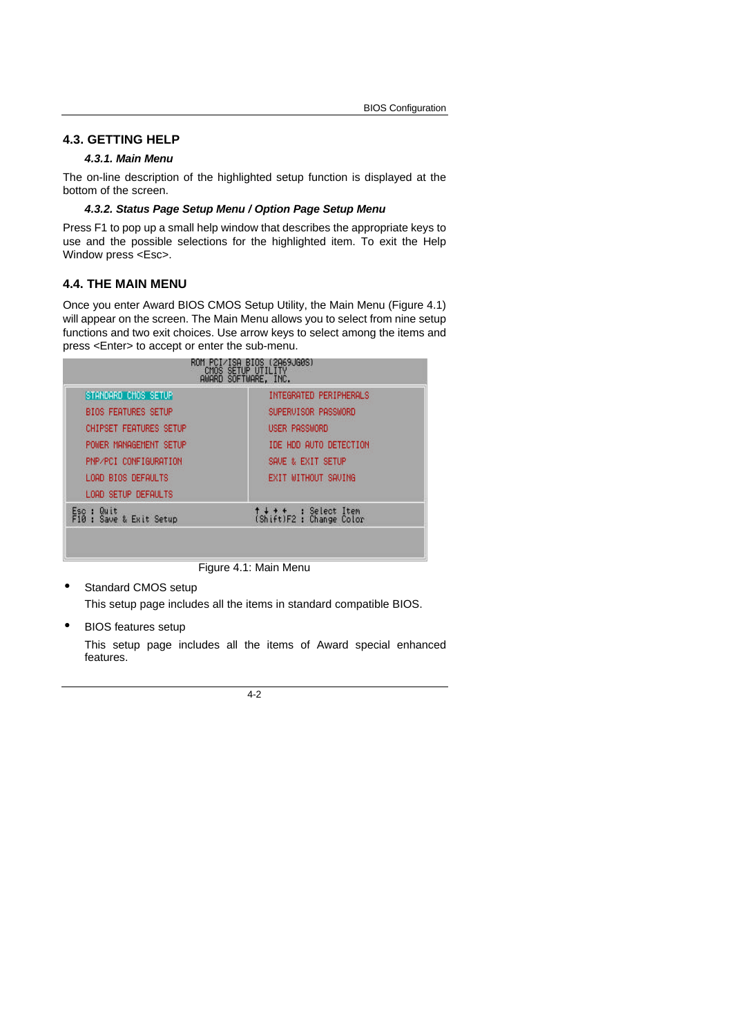## **4.3. GETTING HELP**

#### *4.3.1. Main Menu*

The on-line description of the highlighted setup function is displayed at the bottom of the screen.

#### *4.3.2. Status Page Setup Menu / Option Page Setup Menu*

Press F1 to pop up a small help window that describes the appropriate keys to use and the possible selections for the highlighted item. To exit the Help Window press <Esc>.

#### **4.4. THE MAIN MENU**

Once you enter Award BIOS CMOS Setup Utility, the Main Menu (Figure 4.1) will appear on the screen. The Main Menu allows you to select from nine setup functions and two exit choices. Use arrow keys to select among the items and press <Enter> to accept or enter the sub-menu.

| STANDARD CMOS SETUP                        | INTEGRATED PERIPHERALS                           |
|--------------------------------------------|--------------------------------------------------|
| <b>BIOS FEATURES SETUP</b>                 | SUPERVISOR PASSWORD                              |
| <b>CHIPSET FEATURES SETUP</b>              | <b>USER PASSWORD</b>                             |
| POWER MANAGEMENT SETUP                     | IDE HDD AUTO DETECTION                           |
| PNP/PCI CONFIGURATION                      | SAVE & EXIT SETUP                                |
| LOAD BIOS DEFAULTS                         | EXIT WITHOUT SAVING                              |
| LOAD SETUP DEFAULTS                        |                                                  |
| Quit<br>ESC :<br>F10:<br>Save & Exit Setup | ↑↓ ↑ ↑ : Select Item<br>(Shift)F2 : Change Color |

Figure 4.1: Main Menu

Standard CMOS setup

This setup page includes all the items in standard compatible BIOS.

• BIOS features setup

This setup page includes all the items of Award special enhanced features.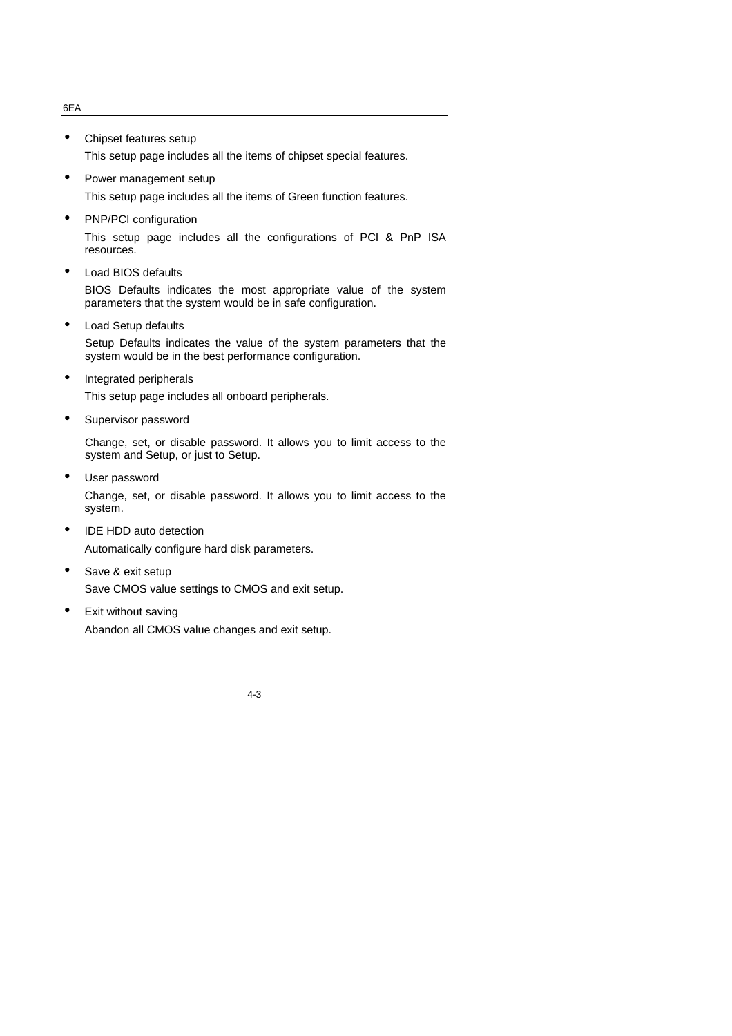#### 6EA

- Chipset features setup This setup page includes all the items of chipset special features.
- Power management setup

This setup page includes all the items of Green function features.

• PNP/PCI configuration

This setup page includes all the configurations of PCI & PnP ISA resources.

• Load BIOS defaults

BIOS Defaults indicates the most appropriate value of the system parameters that the system would be in safe configuration.

• Load Setup defaults

Setup Defaults indicates the value of the system parameters that the system would be in the best performance configuration.

- Integrated peripherals This setup page includes all onboard peripherals.
- Supervisor password

Change, set, or disable password. It allows you to limit access to the system and Setup, or just to Setup.

- User password Change, set, or disable password. It allows you to limit access to the system.
- IDE HDD auto detection Automatically configure hard disk parameters.
- Save & exit setup Save CMOS value settings to CMOS and exit setup.
- Exit without saving Abandon all CMOS value changes and exit setup.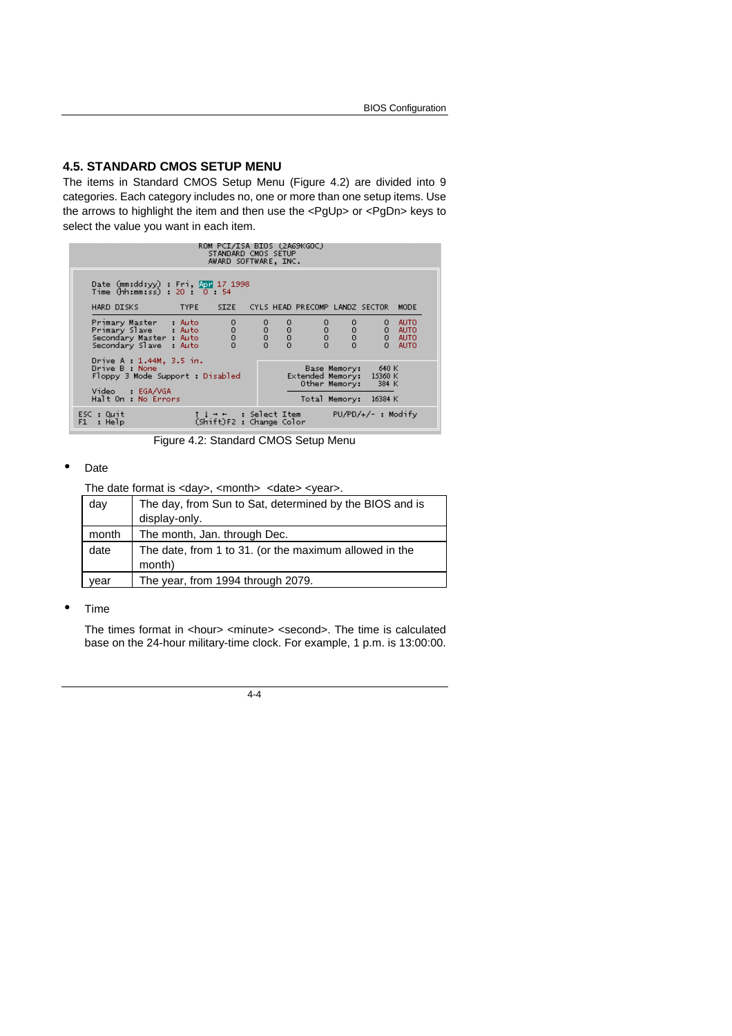### **4.5. STANDARD CMOS SETUP MENU**

The items in Standard CMOS Setup Menu (Figure 4.2) are divided into 9 categories. Each category includes no, one or more than one setup items. Use the arrows to highlight the item and then use the <PgUp> or <PgDn> keys to select the value you want in each item.

|                                                                                                                                                                                                                               |             | ROM PCI/ISA BIOS (2A69KGOC)<br>STANDARD CMOS SETUP<br>AWARD SOFTWARE, INC. |               |                                                       |                      |                                           |
|-------------------------------------------------------------------------------------------------------------------------------------------------------------------------------------------------------------------------------|-------------|----------------------------------------------------------------------------|---------------|-------------------------------------------------------|----------------------|-------------------------------------------|
| Date (mm:dd:yy) : Fri, NPT 17 1998<br>Time (hh:mm:ss) : 20 : 0 : 54                                                                                                                                                           |             |                                                                            |               |                                                       |                      |                                           |
| HARD DISKS                                                                                                                                                                                                                    | <b>TYPE</b> | SIZE CYLS HEAD PRECOMP LANDZ SECTOR                                        |               |                                                       |                      | <b>MODE</b>                               |
| Primary Master : Auto<br>Primary Slave : Auto<br>Secondary Master : Auto<br>Secondary Slave : Auto                                                                                                                            |             | $\frac{1}{2}$                                                              | $\frac{0}{0}$ | $\begin{matrix} 0 & 0 \\ 0 & 0 \\ 0 & 0 \end{matrix}$ | 0                    | <b>AUTO</b><br>0 AUTO<br>0 AUTO<br>0 AUTO |
| Drive A : 1.44M, 3.5 in.<br>Drive B : None<br>640 K<br>Base Memory:<br>Extended Memory: 15360 K<br>Floppy 3 Mode Support : Disabled<br>Other Memory: 384 K<br>Video : EGA/VGA<br>Halt On : No Errors<br>Total Memory: 16384 K |             |                                                                            |               |                                                       |                      |                                           |
| ESC : Quit<br>: Help<br>F1                                                                                                                                                                                                    |             | 1 ↓ → ←   : Select Item<br>(Shift)F2 : Change Color                        |               |                                                       | $PU/PD/+/-$ : Modify |                                           |

Figure 4.2: Standard CMOS Setup Menu

#### • Date

The date format is <day>, <month> <date> <year>.

| day   | The day, from Sun to Sat, determined by the BIOS and is          |
|-------|------------------------------------------------------------------|
|       | display-only.                                                    |
| month | The month, Jan. through Dec.                                     |
| date  | The date, from 1 to 31. (or the maximum allowed in the<br>month) |
| vear  | The year, from 1994 through 2079.                                |

#### • Time

The times format in <hour> <minute> <second>. The time is calculated base on the 24-hour military-time clock. For example, 1 p.m. is 13:00:00.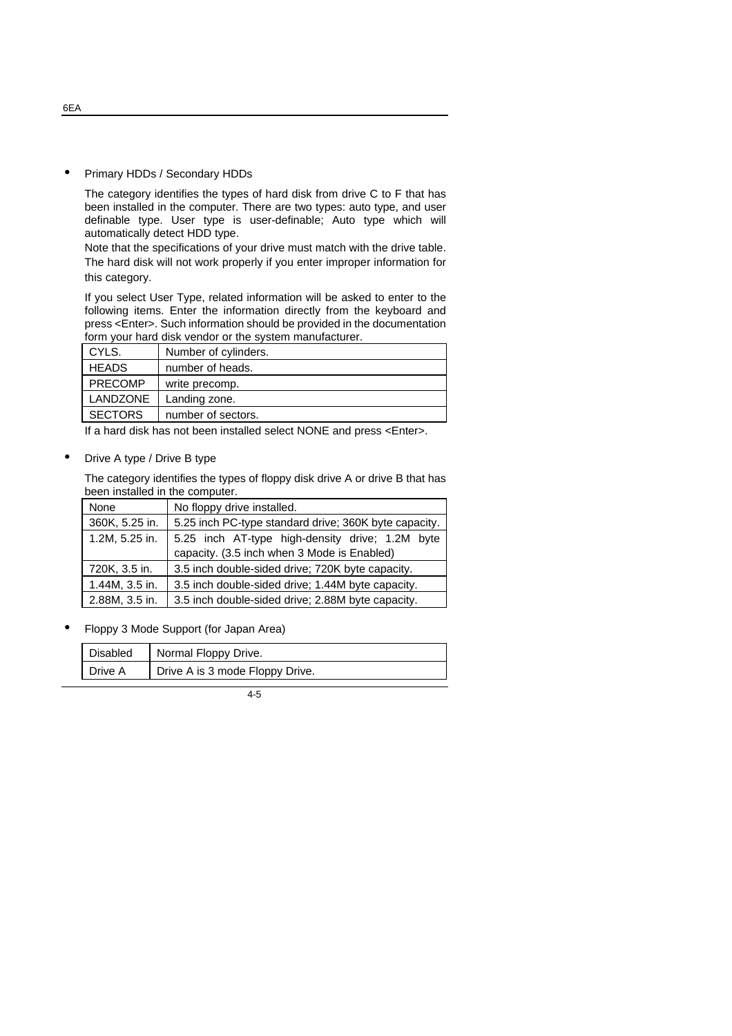#### • Primary HDDs / Secondary HDDs

The category identifies the types of hard disk from drive C to F that has been installed in the computer. There are two types: auto type, and user definable type. User type is user-definable; Auto type which will automatically detect HDD type.

Note that the specifications of your drive must match with the drive table. The hard disk will not work properly if you enter improper information for this category.

If you select User Type, related information will be asked to enter to the following items. Enter the information directly from the keyboard and press <Enter>. Such information should be provided in the documentation form your hard disk vendor or the system manufacturer.

| CYLS.           | Number of cylinders. |
|-----------------|----------------------|
| <b>HEADS</b>    | number of heads.     |
| <b>PRECOMP</b>  | write precomp.       |
| <b>LANDZONE</b> | Landing zone.        |
| <b>SECTORS</b>  | number of sectors.   |

If a hard disk has not been installed select NONE and press <Enter>.

#### • Drive A type / Drive B type

The category identifies the types of floppy disk drive A or drive B that has been installed in the computer.

| None           | No floppy drive installed.                            |  |  |
|----------------|-------------------------------------------------------|--|--|
| 360K, 5.25 in. | 5.25 inch PC-type standard drive; 360K byte capacity. |  |  |
| 1.2M, 5.25 in. | 5.25 inch AT-type high-density drive; 1.2M byte       |  |  |
|                | capacity. (3.5 inch when 3 Mode is Enabled)           |  |  |
| 720K, 3.5 in.  | 3.5 inch double-sided drive; 720K byte capacity.      |  |  |
| 1.44M, 3.5 in. | 3.5 inch double-sided drive; 1.44M byte capacity.     |  |  |
| 2.88M, 3.5 in. | 3.5 inch double-sided drive; 2.88M byte capacity.     |  |  |

• Floppy 3 Mode Support (for Japan Area)

| Disabled | Normal Floppy Drive.            |
|----------|---------------------------------|
| Drive A  | Drive A is 3 mode Floppy Drive. |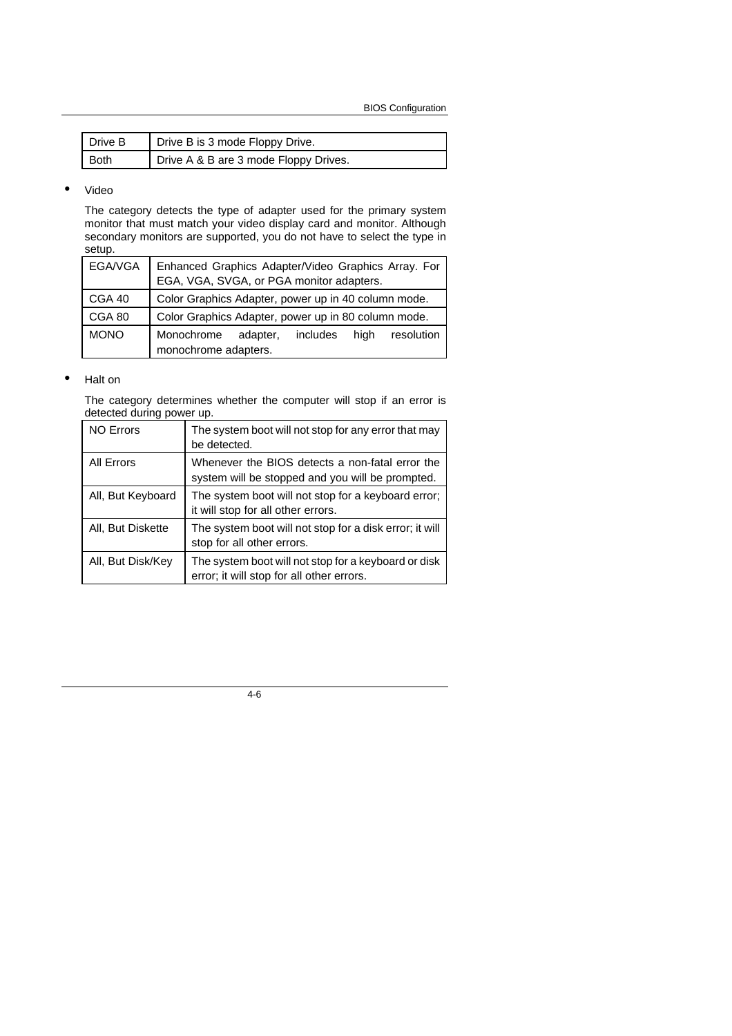BIOS Configuration

| l Drive B | Drive B is 3 mode Floppy Drive.       |
|-----------|---------------------------------------|
| Both      | Drive A & B are 3 mode Floppy Drives. |

#### • Video

The category detects the type of adapter used for the primary system monitor that must match your video display card and monitor. Although secondary monitors are supported, you do not have to select the type in setup.

| EGA/VGA     | Enhanced Graphics Adapter/Video Graphics Array. For<br>EGA, VGA, SVGA, or PGA monitor adapters. |
|-------------|-------------------------------------------------------------------------------------------------|
| CGA 40      | Color Graphics Adapter, power up in 40 column mode.                                             |
| CGA 80      | Color Graphics Adapter, power up in 80 column mode.                                             |
| <b>MONO</b> | Monochrome<br>adapter,<br>includes<br>resolution<br>hiah<br>monochrome adapters.                |

#### • Halt on

The category determines whether the computer will stop if an error is detected during power up.

| <b>NO Errors</b>  | The system boot will not stop for any error that may<br>be detected.                                |
|-------------------|-----------------------------------------------------------------------------------------------------|
| <b>All Errors</b> | Whenever the BIOS detects a non-fatal error the<br>system will be stopped and you will be prompted. |
| All, But Keyboard | The system boot will not stop for a keyboard error;<br>it will stop for all other errors.           |
| All, But Diskette | The system boot will not stop for a disk error; it will<br>stop for all other errors.               |
| All, But Disk/Key | The system boot will not stop for a keyboard or disk<br>error; it will stop for all other errors.   |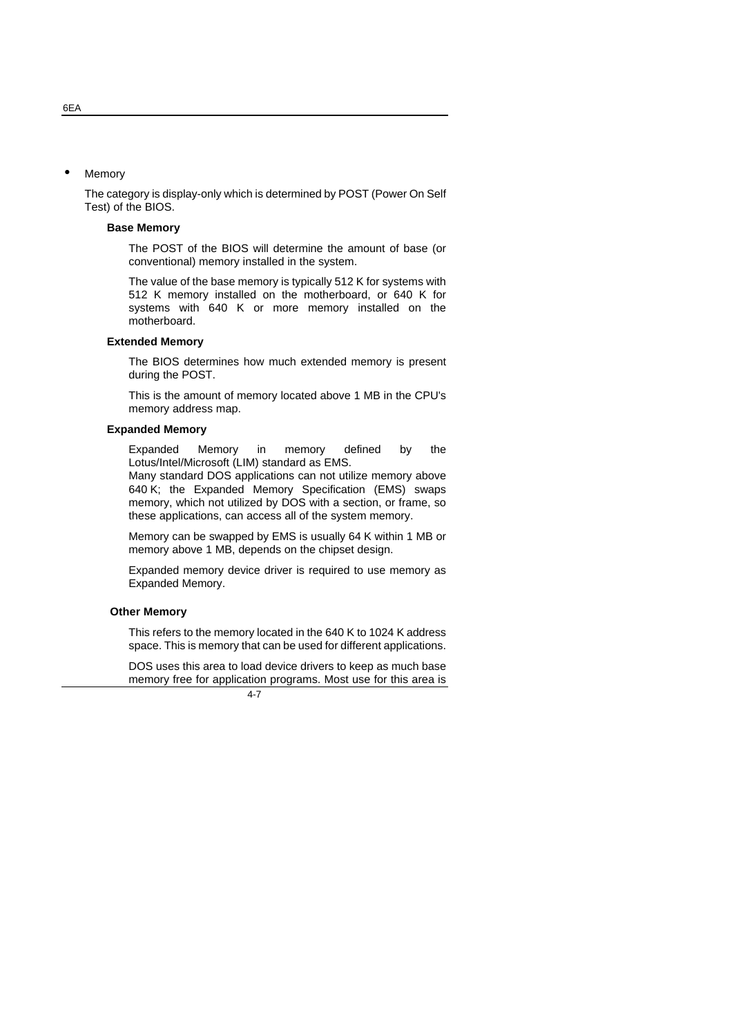**Memory** 

The category is display-only which is determined by POST (Power On Self Test) of the BIOS.

#### **Base Memory**

The POST of the BIOS will determine the amount of base (or conventional) memory installed in the system.

The value of the base memory is typically 512 K for systems with 512 K memory installed on the motherboard, or 640 K for systems with 640 K or more memory installed on the motherboard.

#### **Extended Memory**

The BIOS determines how much extended memory is present during the POST.

This is the amount of memory located above 1 MB in the CPU's memory address map.

#### **Expanded Memory**

Expanded Memory in memory defined by the Lotus/Intel/Microsoft (LIM) standard as EMS.

Many standard DOS applications can not utilize memory above 640 K; the Expanded Memory Specification (EMS) swaps memory, which not utilized by DOS with a section, or frame, so these applications, can access all of the system memory.

Memory can be swapped by EMS is usually 64 K within 1 MB or memory above 1 MB, depends on the chipset design.

Expanded memory device driver is required to use memory as Expanded Memory.

#### **Other Memory**

This refers to the memory located in the 640 K to 1024 K address space. This is memory that can be used for different applications.

DOS uses this area to load device drivers to keep as much base memory free for application programs. Most use for this area is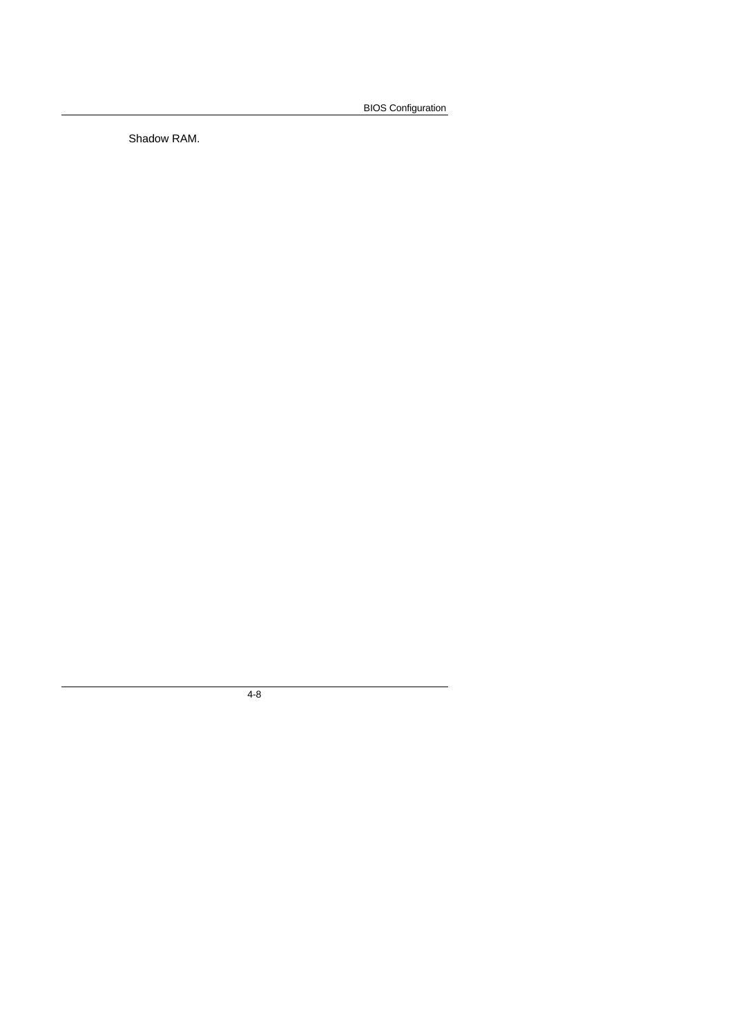BIOS Configuration

Shadow RAM.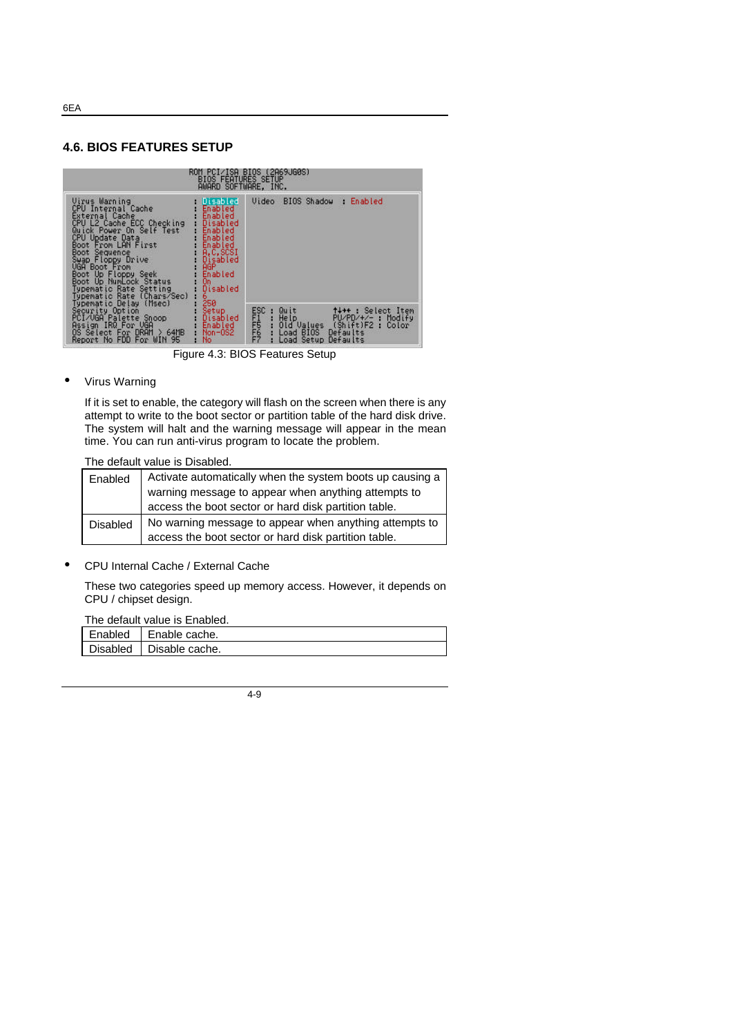#### **4.6. BIOS FEATURES SETUP**



Figure 4.3: BIOS Features Setup

#### • Virus Warning

If it is set to enable, the category will flash on the screen when there is any attempt to write to the boot sector or partition table of the hard disk drive. The system will halt and the warning message will appear in the mean time. You can run anti-virus program to locate the problem.

#### The default value is Disabled.

| Enabled         | Activate automatically when the system boots up causing a |
|-----------------|-----------------------------------------------------------|
|                 | warning message to appear when anything attempts to       |
|                 | access the boot sector or hard disk partition table.      |
| <b>Disabled</b> | No warning message to appear when anything attempts to    |
|                 | access the boot sector or hard disk partition table.      |

• CPU Internal Cache / External Cache

These two categories speed up memory access. However, it depends on CPU / chipset design.

The default value is Enabled.

| Enabled   Enable cache. |
|-------------------------|
| Disabled Disable cache. |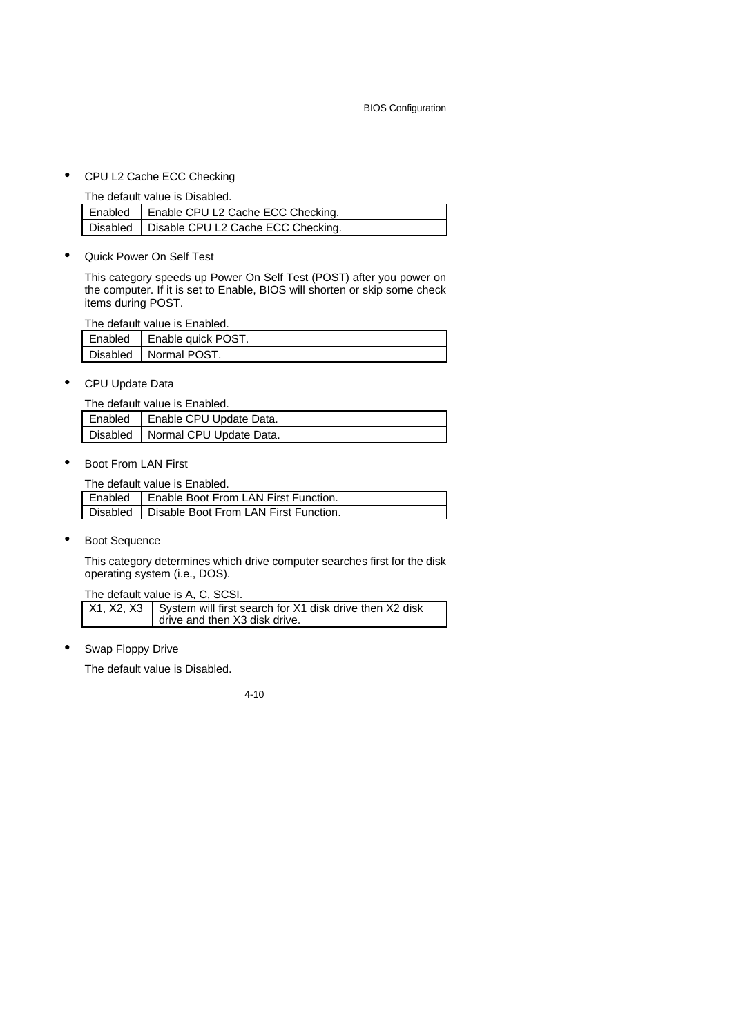• CPU L2 Cache ECC Checking

The default value is Disabled.

| Enabled   Enable CPU L2 Cache ECC Checking.   |
|-----------------------------------------------|
| Disabled   Disable CPU L2 Cache ECC Checking. |

• Quick Power On Self Test

This category speeds up Power On Self Test (POST) after you power on the computer. If it is set to Enable, BIOS will shorten or skip some check items during POST.

The default value is Enabled.

| Enabled | Enable quick POST.      |
|---------|-------------------------|
|         | Disabled   Normal POST. |

• CPU Update Data

| The default value is Enabled. |                                    |
|-------------------------------|------------------------------------|
|                               | Enabled   Enable CPU Update Data.  |
|                               | Disabled   Normal CPU Update Data. |

• Boot From LAN First

The default value is Enabled.

| Enabled   Enable Boot From LAN First Function.   |
|--------------------------------------------------|
| Disabled   Disable Boot From LAN First Function. |

• Boot Sequence

This category determines which drive computer searches first for the disk operating system (i.e., DOS).

The default value is A, C, SCSI.

 $X1, X2, X3$  System will first search for X1 disk drive then X2 disk drive and then X3 disk drive.

Swap Floppy Drive

The default value is Disabled.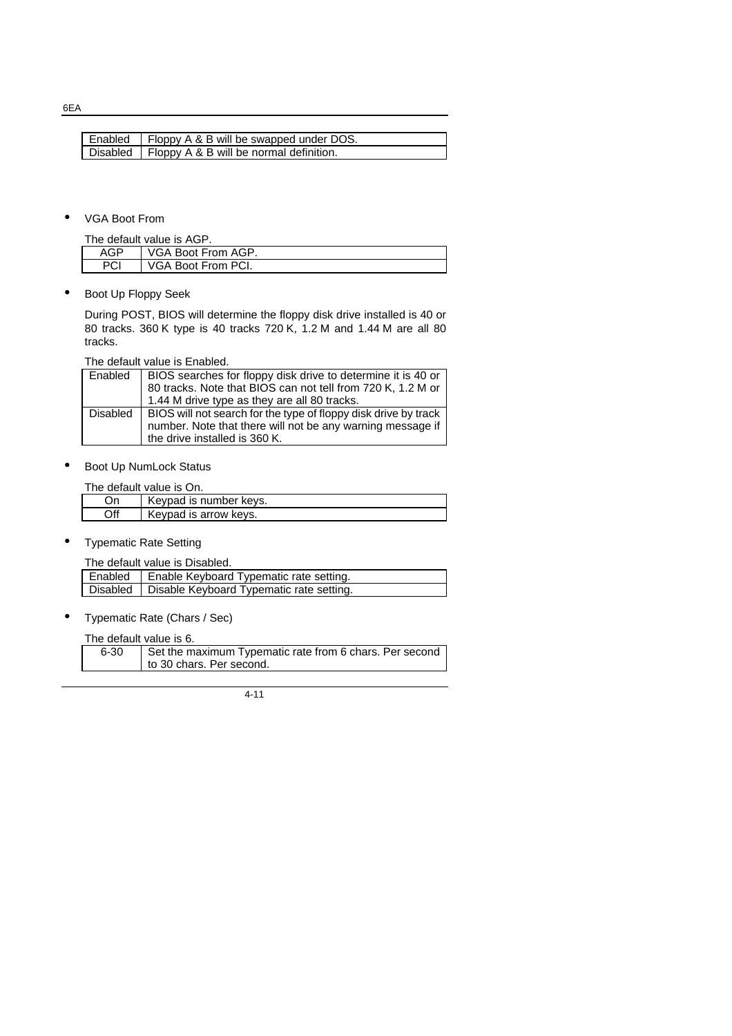6EA

| Enabled   Floppy A & B will be swapped under DOS.  |
|----------------------------------------------------|
|                                                    |
| Disabled   Floppy A & B will be normal definition. |

• VGA Boot From

| The default value is AGP. |                    |  |
|---------------------------|--------------------|--|
| AGP                       | VGA Boot From AGP. |  |
| <b>PCI</b>                | VGA Boot From PCI. |  |

• Boot Up Floppy Seek

During POST, BIOS will determine the floppy disk drive installed is 40 or 80 tracks. 360 K type is 40 tracks 720 K, 1.2 M and 1.44 M are all 80 tracks.

The default value is Enabled.

| Enabled  | BIOS searches for floppy disk drive to determine it is 40 or<br>80 tracks. Note that BIOS can not tell from 720 K, 1.2 M or<br>1.44 M drive type as they are all 80 tracks. |
|----------|-----------------------------------------------------------------------------------------------------------------------------------------------------------------------------|
| Disabled | BIOS will not search for the type of floppy disk drive by track<br>number. Note that there will not be any warning message if<br>the drive installed is 360 K.              |

• Boot Up NumLock Status

The default value is On.

| Оr  | Keypad is number keys. |
|-----|------------------------|
| Off | Keypad is arrow keys.  |

• Typematic Rate Setting

The default value is Disabled.

| Enabled   Enable Keyboard Typematic rate setting.   |
|-----------------------------------------------------|
| Disabled   Disable Keyboard Typematic rate setting. |
|                                                     |

• Typematic Rate (Chars / Sec)

The default value is 6.

| 6-30 | Set the maximum Typematic rate from 6 chars. Per second |
|------|---------------------------------------------------------|
|      | to 30 chars. Per second.                                |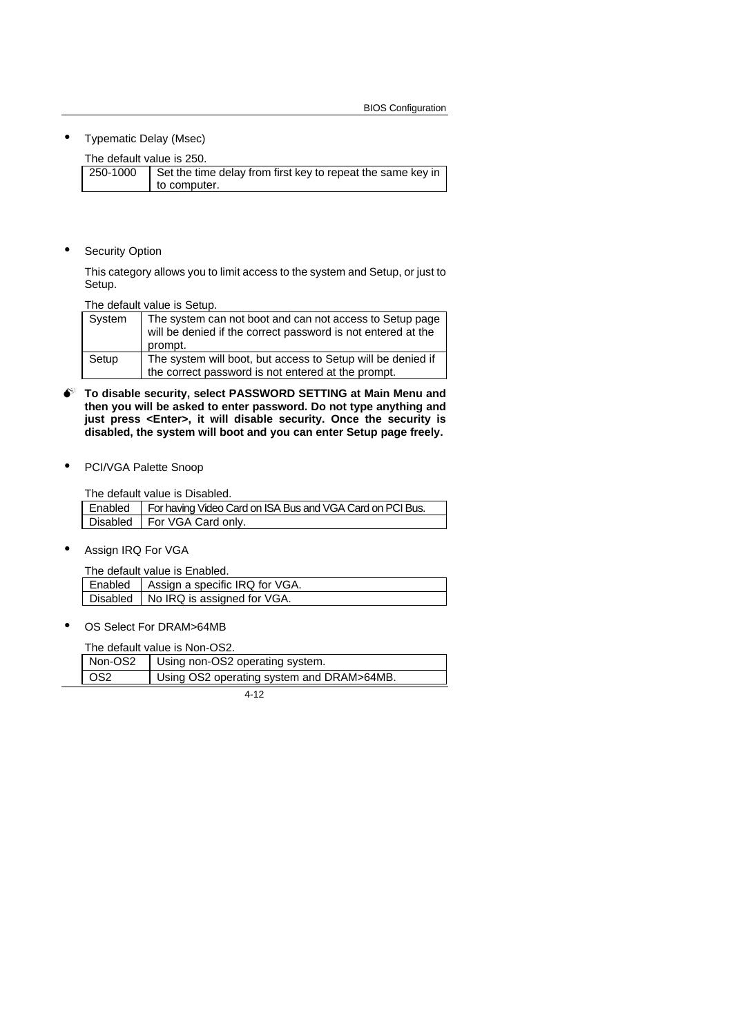• Typematic Delay (Msec)

The default value is 250.

| 250-1000 | Set the time delay from first key to repeat the same key in |
|----------|-------------------------------------------------------------|
|          | to computer.                                                |

**Security Option** 

This category allows you to limit access to the system and Setup, or just to Setup.

The default value is Setup.

| System | The system can not boot and can not access to Setup page<br>will be denied if the correct password is not entered at the<br>prompt. |
|--------|-------------------------------------------------------------------------------------------------------------------------------------|
| Setup  | The system will boot, but access to Setup will be denied if<br>the correct password is not entered at the prompt.                   |

- $\bullet$  To disable security, select PASSWORD SETTING at Main Menu and **then you will be asked to enter password. Do not type anything and just press <Enter>, it will disable security. Once the security is disabled, the system will boot and you can enter Setup page freely.**
- PCI/VGA Palette Snoop

The default value is Disabled.

| Enabled   For having Video Card on ISA Bus and VGA Card on PCI Bus. |
|---------------------------------------------------------------------|
| Disabled   For VGA Card only.                                       |
|                                                                     |

Assign IRQ For VGA

The default value is Enabled.

| Enabled   Assign a specific IRQ for VGA. |
|------------------------------------------|
| Disabled   No IRQ is assigned for VGA.   |

OS Select For DRAM>64MB

The default value is Non-OS2.

| OS <sub>2</sub><br>Using OS2 operating system and DRAM>64MB. | Non-OS2 | Using non-OS2 operating system. |
|--------------------------------------------------------------|---------|---------------------------------|
|                                                              |         |                                 |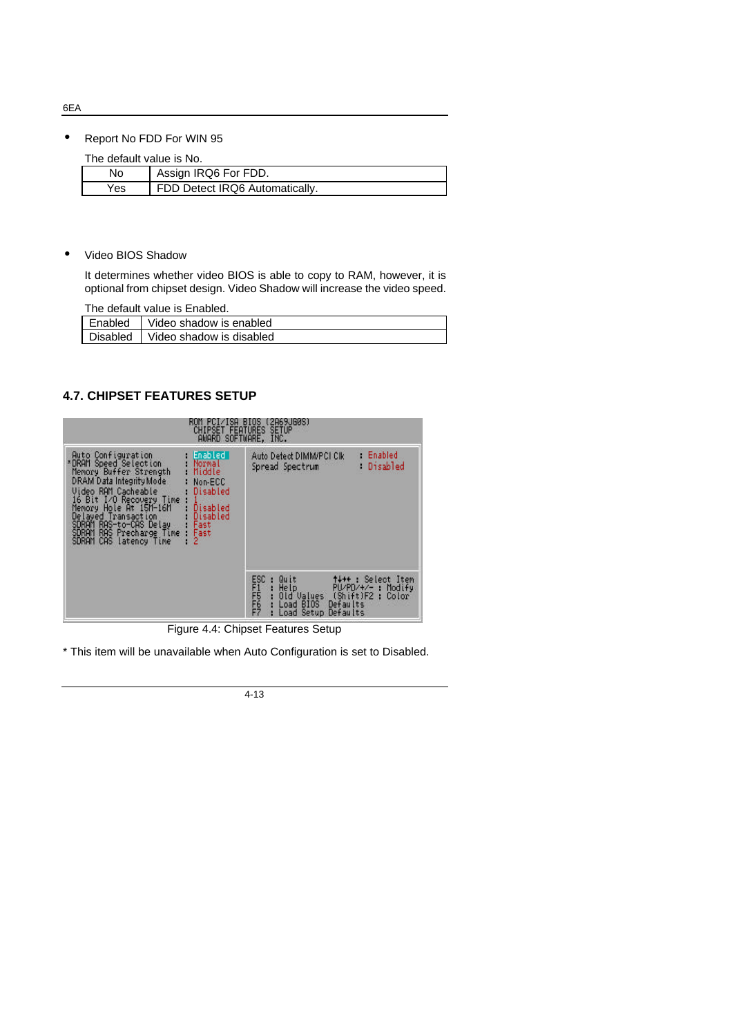• Report No FDD For WIN 95

The default value is No.

| THE GETAUR VAIGE IS NO. |                                |
|-------------------------|--------------------------------|
| No                      | Assign IRQ6 For FDD.           |
| Yes                     | FDD Detect IRQ6 Automatically. |

• Video BIOS Shadow

It determines whether video BIOS is able to copy to RAM, however, it is optional from chipset design. Video Shadow will increase the video speed.

The default value is Enabled.

| Enabled         | Video shadow is enabled  |
|-----------------|--------------------------|
| <b>Disabled</b> | Video shadow is disabled |

## **4.7. CHIPSET FEATURES SETUP**

| 15H<br><b>CHIPSET FEATURES</b>                                                                                                                                                                                                                                                                                                                                                                                        | (2H69JG0S)<br><b>BIUS</b><br><b>SETUP</b><br>AWARD SOFTWARE, INC.                                                                                                                                                    |
|-----------------------------------------------------------------------------------------------------------------------------------------------------------------------------------------------------------------------------------------------------------------------------------------------------------------------------------------------------------------------------------------------------------------------|----------------------------------------------------------------------------------------------------------------------------------------------------------------------------------------------------------------------|
| Auto Configuration<br>Enabled I<br>*DRAM Speed Selection<br>Normal<br>Memory Buffer Strength<br>Middle<br>DRAM Data Integrity Mode<br>Non-ECC<br>Video RAM Cacheable<br>Disabled<br>16 Bit I/O Recovery Time<br>Memory Hole At 15M-16M<br>Disabled<br>Delayed Transaction<br>Disabled<br>SDRAM.<br>RAS-to-CAS Delay<br>Fast<br>RAS<br>Precharge Time<br><b>SDRAM</b><br>Fast<br>2<br>CAS latency Time<br><b>SDRAM</b> | Enabled<br>Auto Detect DIMM/PCI Clk<br>Disabled<br>Spread Spectrum                                                                                                                                                   |
|                                                                                                                                                                                                                                                                                                                                                                                                                       | FRONTPIPE<br>FRONTPIPE<br>FRONTPIPE<br>↑↓→← : Select Item<br>Quit<br><b>Help</b><br>$PU/PD/+/-$ :<br>Modify<br>(Shift)F2<br>Old Values<br>×<br>Color<br>Defaults<br><b>BIOS</b><br>Load<br>Defaults<br>Setup<br>Load |

Figure 4.4: Chipset Features Setup

\* This item will be unavailable when Auto Configuration is set to Disabled.

4-13

6EA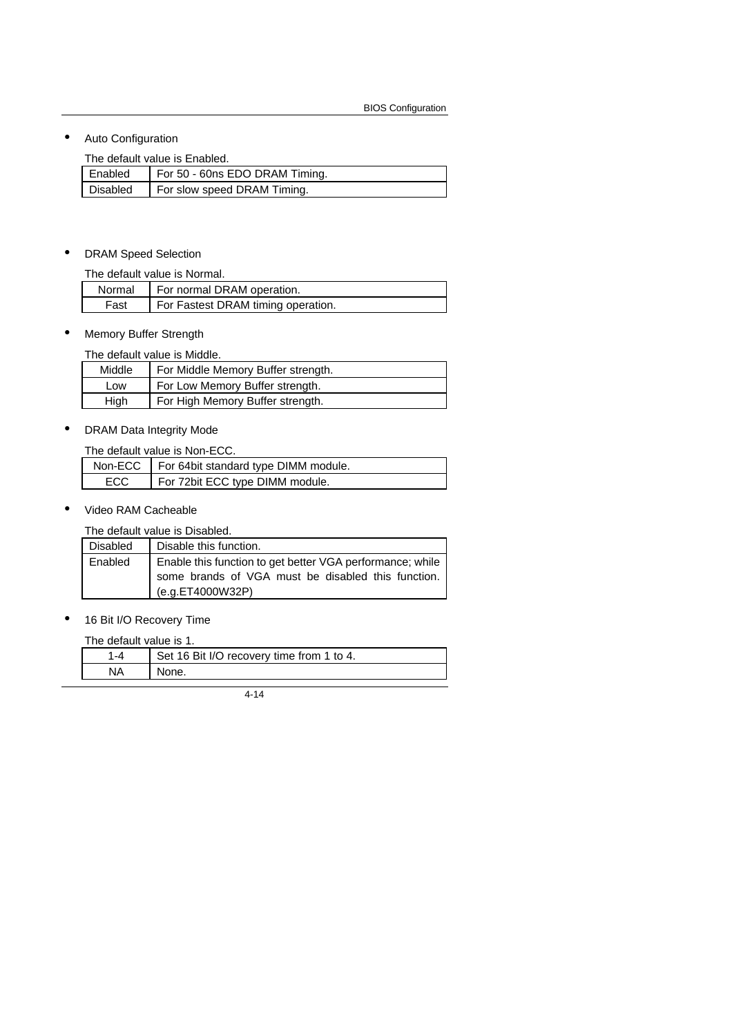• Auto Configuration

The default value is Enabled.

| Enabled  | For 50 - 60ns EDO DRAM Timing. |
|----------|--------------------------------|
| Disabled | For slow speed DRAM Timing.    |

#### • DRAM Speed Selection

The default value is Normal.

|      | Normal   For normal DRAM operation. |
|------|-------------------------------------|
| Fast | For Fastest DRAM timing operation.  |

## • Memory Buffer Strength

The default value is Middle.

| Middle | For Middle Memory Buffer strength. |
|--------|------------------------------------|
| Low    | For Low Memory Buffer strength.    |
| High   | For High Memory Buffer strength.   |

## • DRAM Data Integrity Mode

| The default value is Non-ECC. |                                                |
|-------------------------------|------------------------------------------------|
|                               | Non-ECC   For 64bit standard type DIMM module. |
| ECC                           | For 72bit ECC type DIMM module.                |

• Video RAM Cacheable

The default value is Disabled.

| <b>Disabled</b> | Disable this function.                                                                                                              |
|-----------------|-------------------------------------------------------------------------------------------------------------------------------------|
| Enabled         | Enable this function to get better VGA performance; while<br>some brands of VGA must be disabled this function.<br>(e.g.ET4000W32P) |

• 16 Bit I/O Recovery Time

The default value is 1.

| 1-4 | Set 16 Bit I/O recovery time from 1 to 4. |
|-----|-------------------------------------------|
| NA  | None.                                     |
|     |                                           |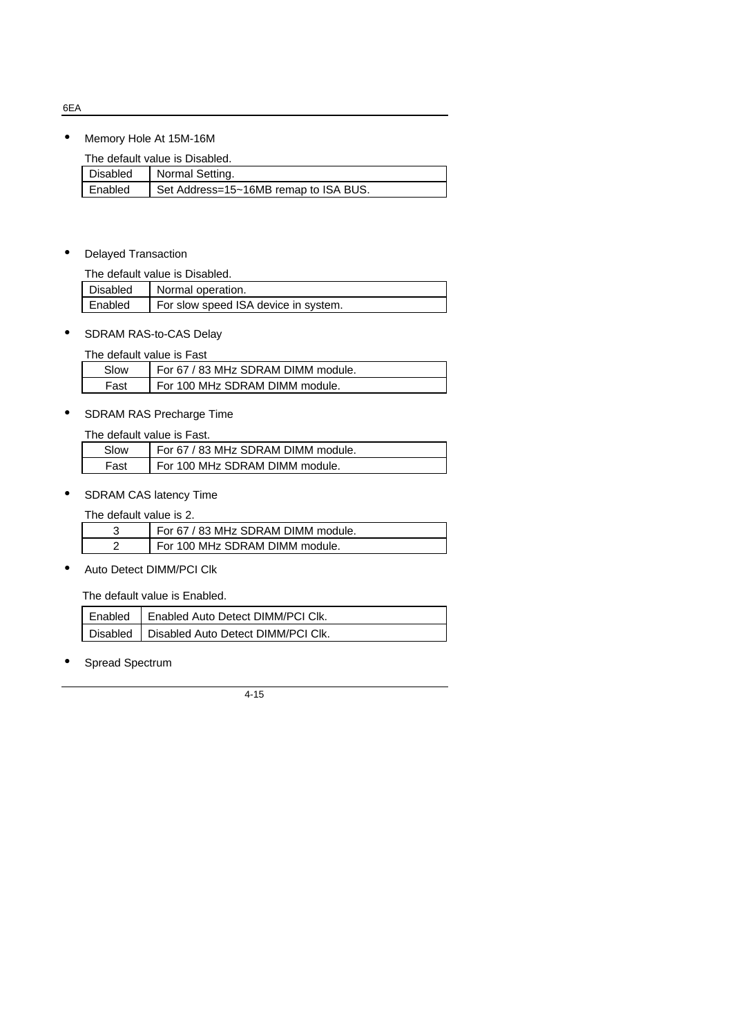• Memory Hole At 15M-16M

The default value is Disabled.

| Disabled | Normal Setting.                       |  |
|----------|---------------------------------------|--|
| Enabled  | Set Address=15~16MB remap to ISA BUS. |  |

### • Delayed Transaction

| The default value is Disabled. |                                      |
|--------------------------------|--------------------------------------|
| Disabled                       | Normal operation.                    |
| Enabled                        | For slow speed ISA device in system. |

### • SDRAM RAS-to-CAS Delay

The default value is Fast

| Slow | For 67 / 83 MHz SDRAM DIMM module. |
|------|------------------------------------|
| Fast | For 100 MHz SDRAM DIMM module.     |

## • SDRAM RAS Precharge Time

The default value is Fast.

| Slow | For 67 / 83 MHz SDRAM DIMM module. |
|------|------------------------------------|
| Fast | For 100 MHz SDRAM DIMM module.     |

## • SDRAM CAS latency Time

The default value is 2.

| For 67 / 83 MHz SDRAM DIMM module. |
|------------------------------------|
| For 100 MHz SDRAM DIMM module.     |
|                                    |

• Auto Detect DIMM/PCI Clk

The default value is Enabled.

| Enabled   Enabled Auto Detect DIMM/PCI Clk.   |
|-----------------------------------------------|
| Disabled   Disabled Auto Detect DIMM/PCI Clk. |

Spread Spectrum

4-15

6EA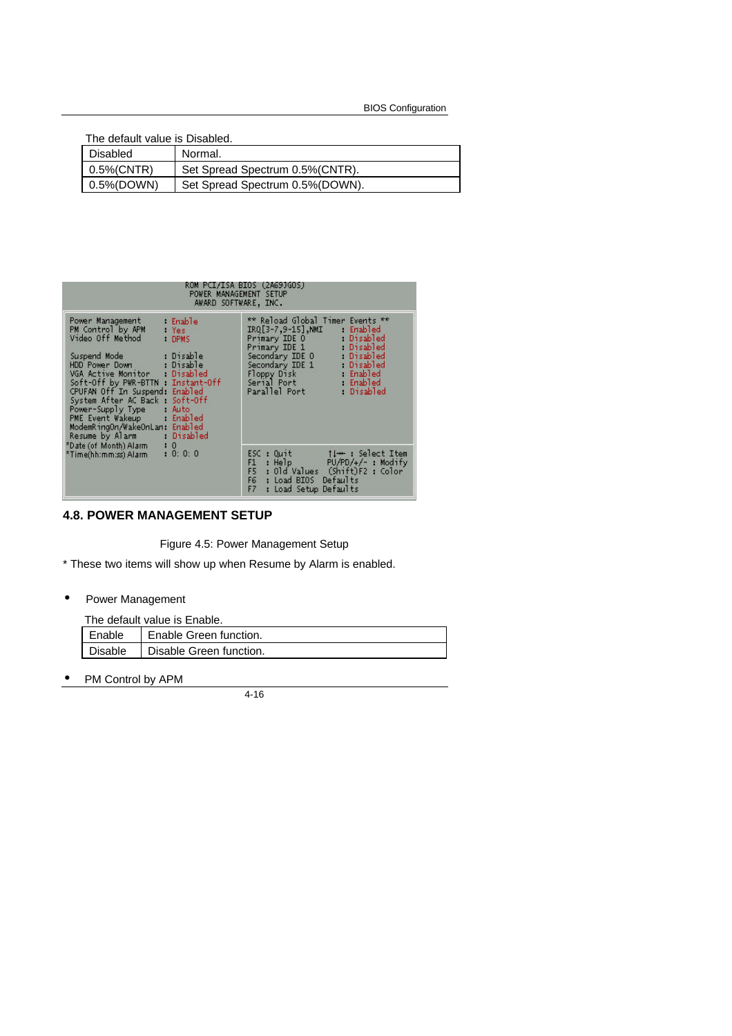| The default value is Disabled. |                                  |
|--------------------------------|----------------------------------|
| Disabled                       | Normal.                          |
| 0.5%(CNTR)                     | Set Spread Spectrum 0.5% (CNTR). |
| 0.5%(DOWN)                     | Set Spread Spectrum 0.5% (DOWN). |

| ROM PCI/ISA BIOS (2A69JGOS)<br>POWER MANAGEMENT SETUP<br>AWARD SOFTWARE, INC.                                                                                                                                                                                                                                                                                                                              |                                                                                                                                                                                                                                                            |
|------------------------------------------------------------------------------------------------------------------------------------------------------------------------------------------------------------------------------------------------------------------------------------------------------------------------------------------------------------------------------------------------------------|------------------------------------------------------------------------------------------------------------------------------------------------------------------------------------------------------------------------------------------------------------|
| Power Management<br>Enable<br>PM Control by APM<br>: Yes<br>Video Off Method<br>: DPMS<br>Suspend Mode : Disable<br>HDD Power Down : Disable<br>VGA Active Monitor : Disabled<br>Soft-Off by PWR-BTTN Instant-Off<br>CPUFAN Off In Suspend: Enabled<br>System After AC Back Soft-Off<br>Power-Supply Type : Auto<br>PME Event Wakeup Enabled<br>ModemRingOn/WakeOnLan: Enabled<br>Resume by Alarm Disabled | ** Reload Global Timer Events **<br>IRQ[3-7,9-15].NMI Enabled<br>Primary IDE 0 Disabled<br>Primary IDE 1 Disabled<br>Secondary IDE 0 Disabled<br>Secondary IDE 1 Disabled<br>Floppy Disk Enabled<br>Serial Port : Enabled<br>Parallel Port<br>. : Disabled |
| *Date (of Month) Alarm<br>: 0: 0: 0<br>*Time(hh:mm:ss) Alarm                                                                                                                                                                                                                                                                                                                                               | ESC: Ouit 11++: Select Item<br>: Help $PU/PD/*/-$ : Modify<br>F1<br>F <sub>5</sub><br>: Old Values (Shift)F2 : Color<br>F6 : Load BIOS Defaults<br>F <sub>7</sub><br>: Load Setup Defaults                                                                 |

#### **4.8. POWER MANAGEMENT SETUP**

Figure 4.5: Power Management Setup

\* These two items will show up when Resume by Alarm is enabled.

• Power Management

| The default value is Enable. |                         |
|------------------------------|-------------------------|
| Enable                       | Enable Green function.  |
| <b>Disable</b>               | Disable Green function. |

• PM Control by APM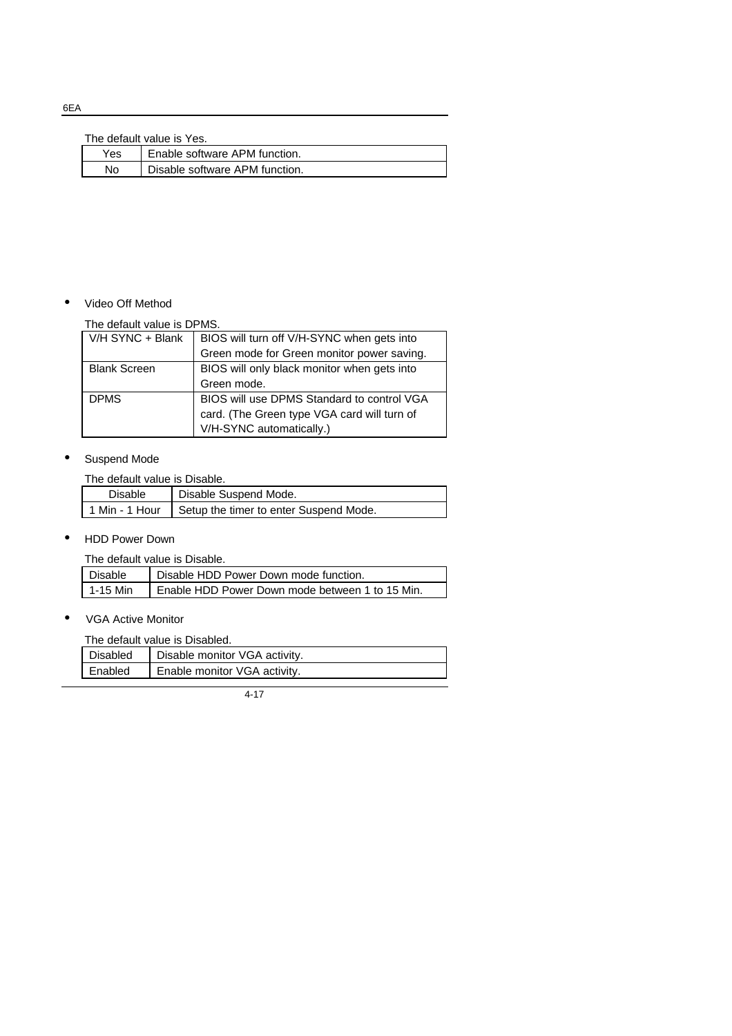#### The default value is Yes.

| Enable software APM function.<br>Yes. |    | THU UURUR VURUU 19 TUJ.        |
|---------------------------------------|----|--------------------------------|
|                                       |    |                                |
|                                       | No | Disable software APM function. |

#### • Video Off Method

#### The default value is DPMS.

| V/H SYNC + Blank    | BIOS will turn off V/H-SYNC when gets into  |
|---------------------|---------------------------------------------|
|                     | Green mode for Green monitor power saving.  |
| <b>Blank Screen</b> | BIOS will only black monitor when gets into |
|                     | Green mode.                                 |
| <b>DPMS</b>         | BIOS will use DPMS Standard to control VGA  |
|                     | card. (The Green type VGA card will turn of |
|                     | V/H-SYNC automatically.)                    |

#### • Suspend Mode

The default value is Disable.

| Disable | Disable Suspend Mode.                                   |
|---------|---------------------------------------------------------|
|         | 1 Min - 1 Hour   Setup the timer to enter Suspend Mode. |

## • HDD Power Down

The default value is Disable.

| Disable    | Disable HDD Power Down mode function.           |
|------------|-------------------------------------------------|
| l 1-15 Min | Enable HDD Power Down mode between 1 to 15 Min. |
|            |                                                 |

#### • VGA Active Monitor

The default value is Disabled.

| Disabled | Disable monitor VGA activity. |
|----------|-------------------------------|
| Enabled  | Enable monitor VGA activity.  |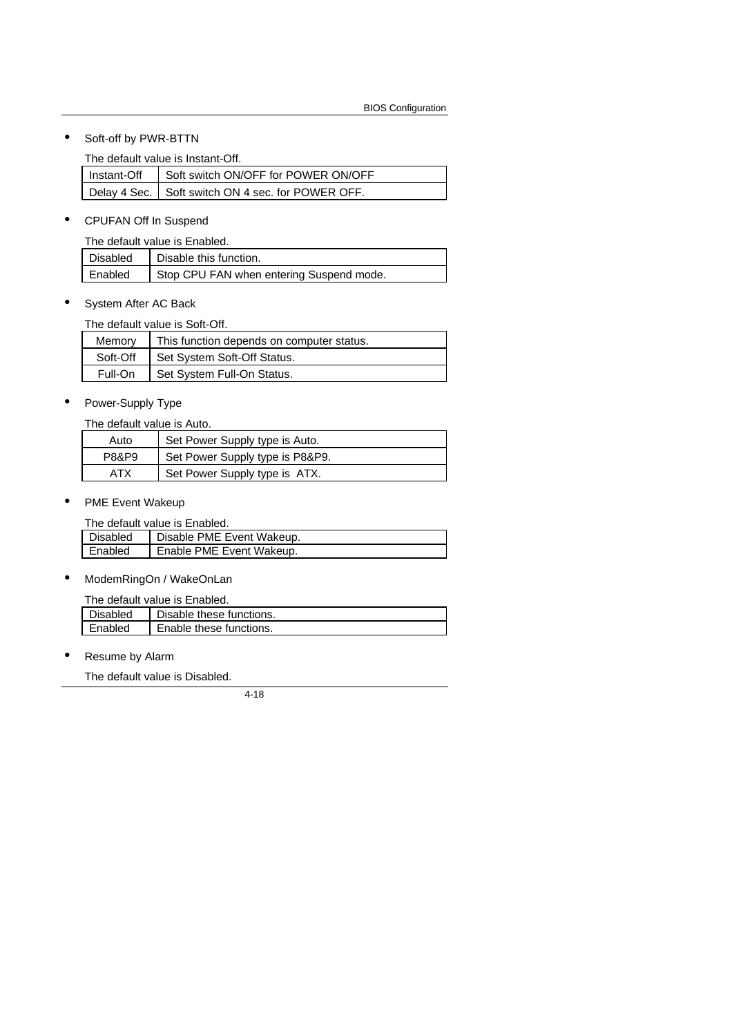• Soft-off by PWR-BTTN

The default value is Instant-Off.

|  | Instant-Off   Soft switch ON/OFF for POWER ON/OFF   |
|--|-----------------------------------------------------|
|  | Delay 4 Sec.   Soft switch ON 4 sec. for POWER OFF. |

• CPUFAN Off In Suspend

The default value is Enabled.

| Disabled | Disable this function.                   |
|----------|------------------------------------------|
| Enabled  | Stop CPU FAN when entering Suspend mode. |

• System After AC Back

The default value is Soft-Off.

| Memory   | This function depends on computer status. |  |
|----------|-------------------------------------------|--|
| Soft-Off | Set System Soft-Off Status.               |  |
| Full-On  | Set System Full-On Status.                |  |

• Power-Supply Type

The default value is Auto.

| Auto  | Set Power Supply type is Auto.  |  |
|-------|---------------------------------|--|
| P8&P9 | Set Power Supply type is P8&P9. |  |
| АТХ   | Set Power Supply type is ATX.   |  |

• PME Event Wakeup

The default value is Enabled.

| THU UURUU VURUU IJ LHUDIUU. |                           |  |
|-----------------------------|---------------------------|--|
| Disabled                    | Disable PME Event Wakeup. |  |
| Enabled                     | Enable PME Event Wakeup.  |  |
|                             |                           |  |

• ModemRingOn / WakeOnLan

| l Disabled | Disable these functions. |
|------------|--------------------------|
| Enabled    | Enable these functions.  |
|            |                          |

Resume by Alarm

The default value is Disabled.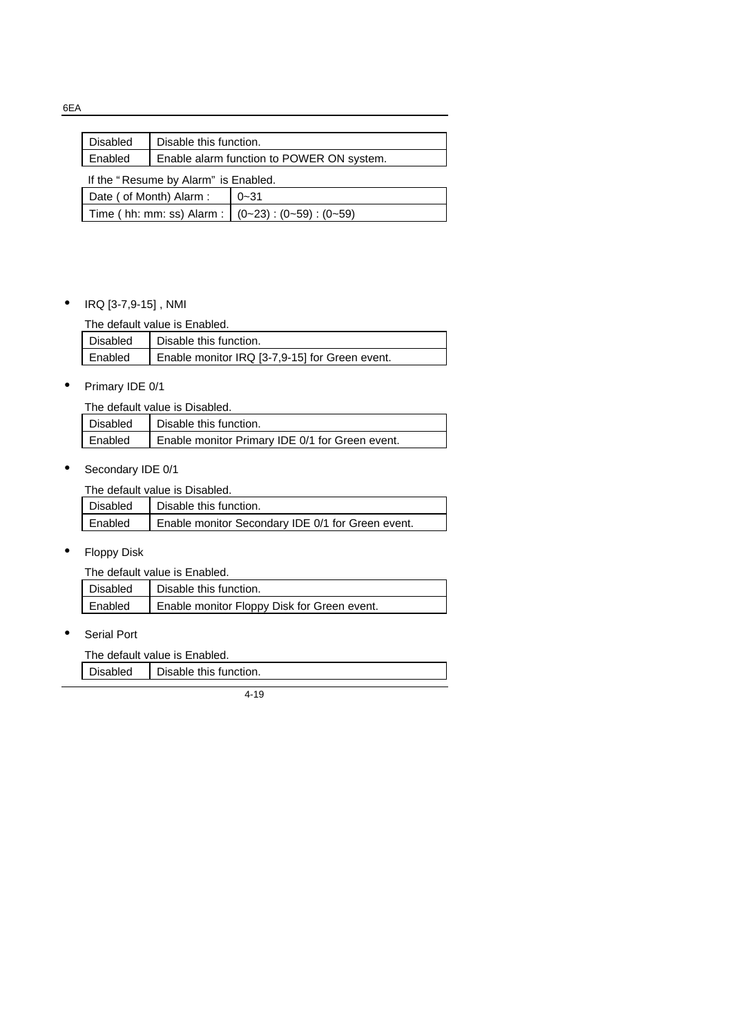| <b>Disabled</b>                                           | Disable this function. |                                           |
|-----------------------------------------------------------|------------------------|-------------------------------------------|
| Enabled                                                   |                        | Enable alarm function to POWER ON system. |
| If the "Resume by Alarm" is Enabled.                      |                        |                                           |
| Date ( of Month) Alarm :<br>$0 - 31$                      |                        |                                           |
| Time ( hh: mm: ss) Alarm : $(0-23)$ : $(0-59)$ : $(0-59)$ |                        |                                           |

## • IRQ [3-7,9-15] , NMI

The default value is Enabled.

| Disabled | Disable this function.                         |
|----------|------------------------------------------------|
| Enabled  | Enable monitor IRQ [3-7,9-15] for Green event. |

## • Primary IDE 0/1

| The default value is Disabled. |         |                                                 |
|--------------------------------|---------|-------------------------------------------------|
|                                |         | Disabled   Disable this function.               |
|                                | Enabled | Enable monitor Primary IDE 0/1 for Green event. |

## • Secondary IDE 0/1

The default value is Disabled.

| l Disabled | Disable this function.                            |
|------------|---------------------------------------------------|
| l Enabled  | Enable monitor Secondary IDE 0/1 for Green event. |

## • Floppy Disk

The default value is Enabled.

| Disabled | Disable this function.                      |
|----------|---------------------------------------------|
| Enabled  | Enable monitor Floppy Disk for Green event. |

• Serial Port

The default value is Enabled.

| Disabled | Disable this function. |
|----------|------------------------|
|          |                        |
|          |                        |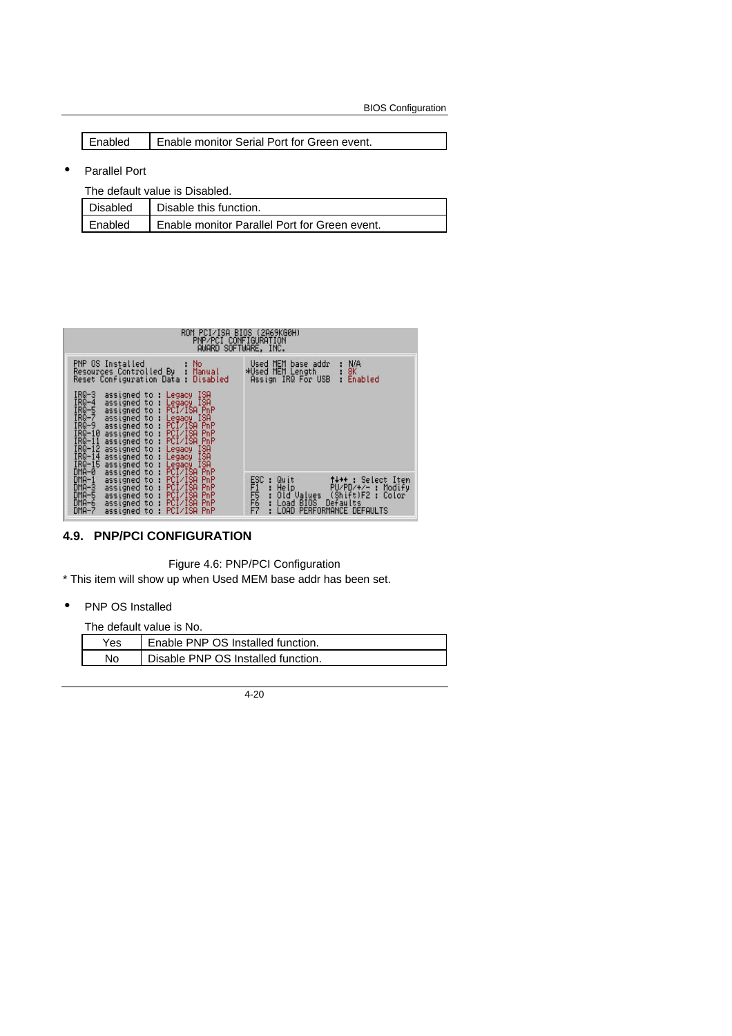BIOS Configuration

| Enabled | Enable monitor Serial Port for Green event. |
|---------|---------------------------------------------|
|---------|---------------------------------------------|

• Parallel Port

| The default value is Disabled. |                                               |  |
|--------------------------------|-----------------------------------------------|--|
| Disabled                       | Disable this function.                        |  |
| Enabled                        | Enable monitor Parallel Port for Green event. |  |

| ROM PCI∕ISA BIOS (2A69KG0H)<br>PNP/PCI CONFIGURATION<br>AWARD SOFTWARE, INC.                                                                                                                                                                                                                                                                                                                                                                                                                               |                                                                                                                                                                                            |
|------------------------------------------------------------------------------------------------------------------------------------------------------------------------------------------------------------------------------------------------------------------------------------------------------------------------------------------------------------------------------------------------------------------------------------------------------------------------------------------------------------|--------------------------------------------------------------------------------------------------------------------------------------------------------------------------------------------|
| PNP OS Installed<br>No<br>Resources Controlled By<br>Manual<br>Reset Configuration Data :<br>Disabled                                                                                                                                                                                                                                                                                                                                                                                                      | N/A<br>Used MEM base addr<br>*Used MEM Length<br>8К<br>Assign IRQ For USB<br>Enabled<br>ю                                                                                                  |
| $IRQ-3$<br>ISA<br>assigned to : Legacy<br>IRQ-4<br>Legacy ISA<br>assigned to :<br>IRO-5<br>IRO-7<br>IRO-9<br>IRO-19<br>PCI/ISA PnP<br>assigned to<br>Π.<br>assigned to :<br>ISA<br>Legacy<br>PCI/ISA PnP<br>assigned to :<br>PCI/ISA<br>assigned to :<br>PnP<br>IRG-11<br>IRG-12<br>IRG-14<br>IRG-15<br>assigned to<br>PCI/ISA<br>PnP<br>- 18<br>assigned to :<br>ISA<br>Legacy<br>assigned to :<br>ISA<br>Legacy<br>assigned to :<br>ISA<br>Legacy ISA<br>PCI/ISA PnP<br>$DMA - 0$<br>assigned to<br>- 18 |                                                                                                                                                                                            |
| $DMA-1$<br>PCI/ISA<br>PnP<br>assigned to<br>÷<br>$DMA-3$<br>assigned to<br>PCI/ISA<br>PnP<br>÷.<br>$DMA - 5$<br>PCI/ISA<br>PnP<br>assigned to<br>÷<br>$DMA - 6$<br>assigned to<br>×<br>PCI/ISA<br>PnP<br>PCI/ISA<br>$DMA - 7$<br>PnP<br>assigned to :                                                                                                                                                                                                                                                      | ESC<br>FREEZ<br>FREEZ<br>↑↓→←: Select Item<br>Quit<br>-89<br>Help<br>PU/PD/+/-<br>Modify<br>-11<br>(Shift)F2:<br>Old Values<br>Color<br>Defaults<br>Load BIOS<br>LOAD PERFORMANCE DEFAULTS |

## **4.9. PNP/PCI CONFIGURATION**

Figure 4.6: PNP/PCI Configuration

\* This item will show up when Used MEM base addr has been set.

• PNP OS Installed

The default value is No.

| Yes. | Enable PNP OS Installed function.  |
|------|------------------------------------|
| No   | Disable PNP OS Installed function. |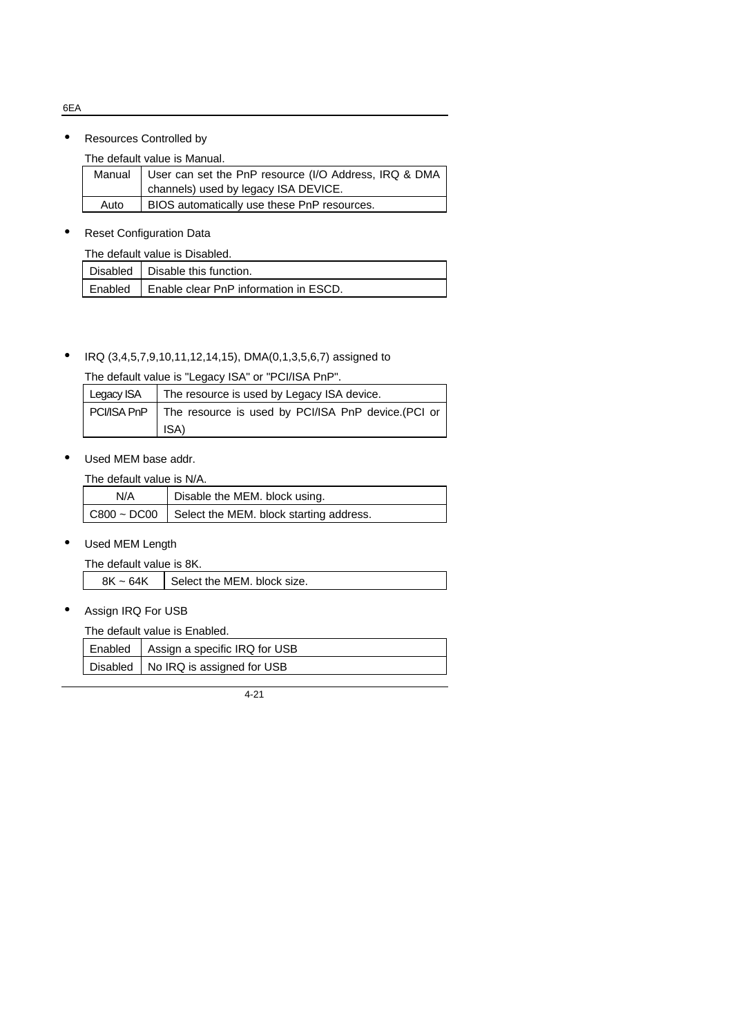6EA

#### • Resources Controlled by

The default value is Manual.

|      | Manual   User can set the PnP resource (I/O Address, IRQ & DMA |  |
|------|----------------------------------------------------------------|--|
|      | channels) used by legacy ISA DEVICE.                           |  |
| Auto | BIOS automatically use these PnP resources.                    |  |

## **Reset Configuration Data**

| The default value is Disabled. |  |                                                 |
|--------------------------------|--|-------------------------------------------------|
|                                |  | Disabled   Disable this function.               |
|                                |  | Enabled   Enable clear PnP information in ESCD. |

## • IRQ (3,4,5,7,9,10,11,12,14,15), DMA(0,1,3,5,6,7) assigned to

The default value is "Legacy ISA" or "PCI/ISA PnP".

| Legacy ISA | The resource is used by Legacy ISA device.                       |
|------------|------------------------------------------------------------------|
|            | PCI/ISA PnP   The resource is used by PCI/ISA PnP device.(PCI or |
|            | ISA)                                                             |

#### • Used MEM base addr.

The default value is N/A.

| N/A | Disable the MEM. block using.                            |
|-----|----------------------------------------------------------|
|     | $C800 \sim DCO0$ Select the MEM. block starting address. |

## • Used MEM Length

The default value is 8K.

| $8K \sim 64K$ | Select the MEM. block size. |
|---------------|-----------------------------|
|---------------|-----------------------------|

• Assign IRQ For USB

The default value is Enabled.

| Enabled   Assign a specific IRQ for USB |
|-----------------------------------------|
| Disabled   No IRQ is assigned for USB   |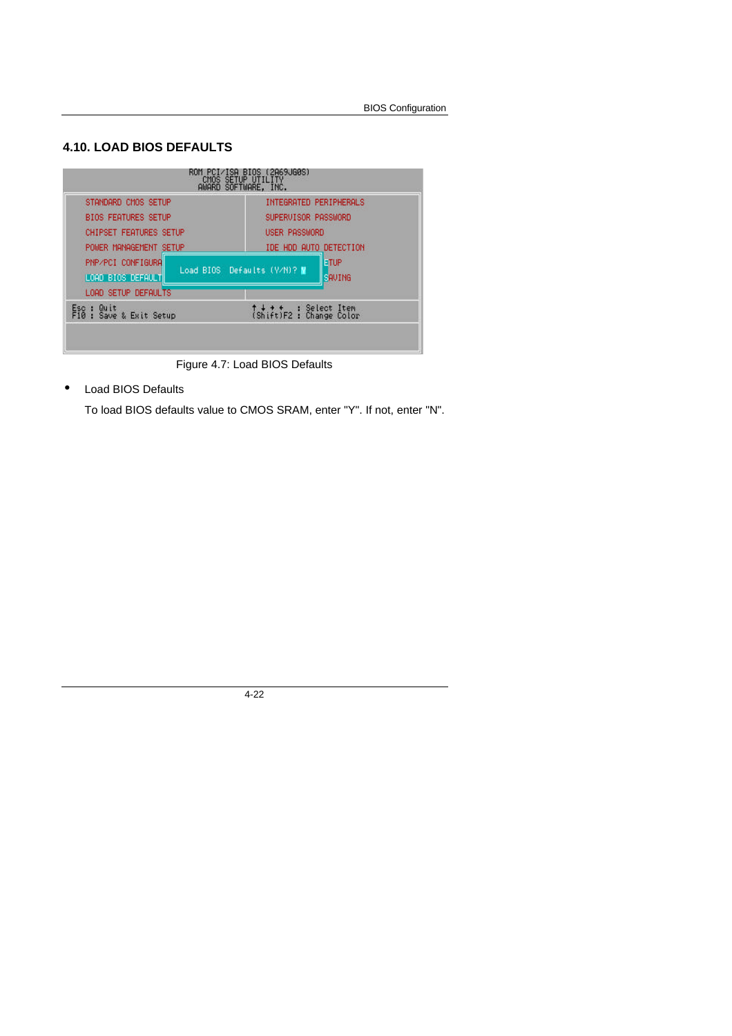## **4.10. LOAD BIOS DEFAULTS**



Figure 4.7: Load BIOS Defaults

• Load BIOS Defaults

To load BIOS defaults value to CMOS SRAM, enter "Y". If not, enter "N".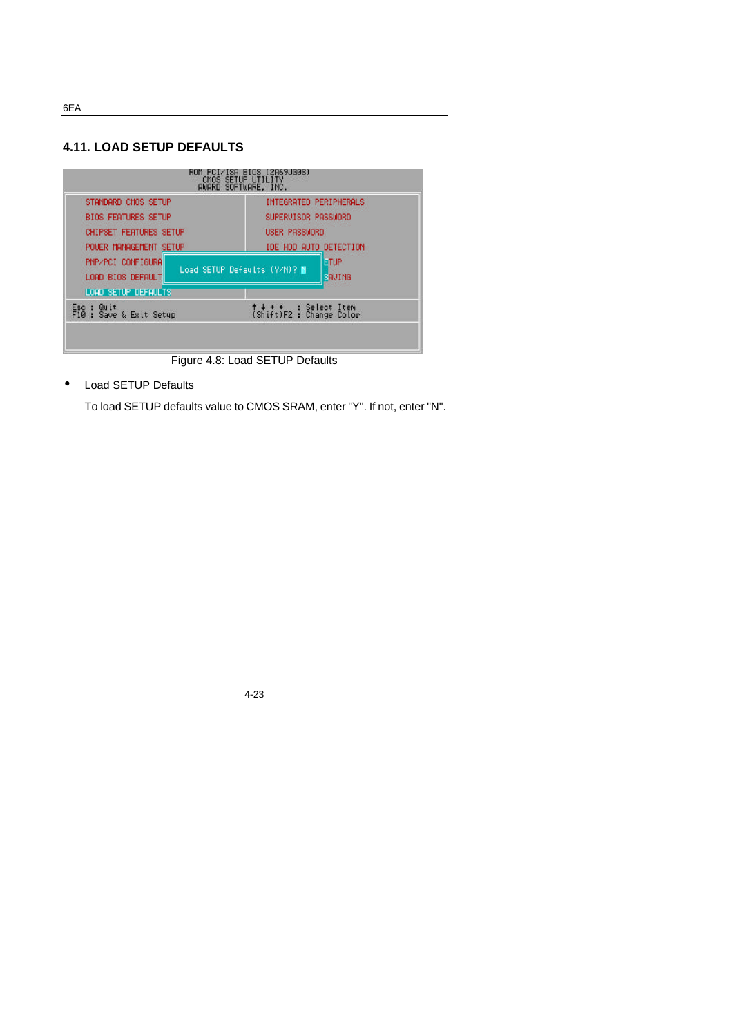**4.11. LOAD SETUP DEFAULTS**



Figure 4.8: Load SETUP Defaults

• Load SETUP Defaults

To load SETUP defaults value to CMOS SRAM, enter "Y". If not, enter "N".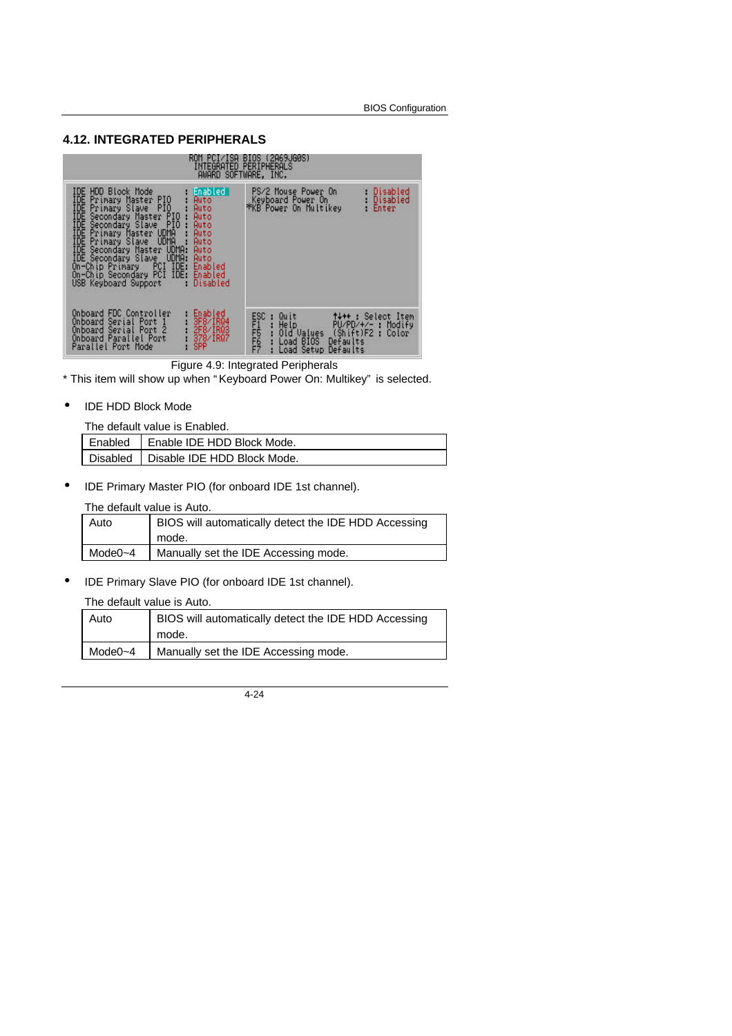## **4.12. INTEGRATED PERIPHERALS**

| AWARD SOFTWARE, INC.                                                                                                                                                                                                                                                                                                                                                                                                                                                                                                                         | OM PCI∕ISA BIOS (2A69JG0S)<br>INTEGRATED PERIPHERALS                                                                                                                             |
|----------------------------------------------------------------------------------------------------------------------------------------------------------------------------------------------------------------------------------------------------------------------------------------------------------------------------------------------------------------------------------------------------------------------------------------------------------------------------------------------------------------------------------------------|----------------------------------------------------------------------------------------------------------------------------------------------------------------------------------|
| IDE<br>HDD Block Mode<br>∥Enabled I<br>TDE Primary Master PIO<br>IDE Primary Slave PIO<br>IDE Secondary Master PIO<br>IDE Secondary Slave PIO<br>IDE Primary Master UDMA<br>IDE Primary Master UDMA<br>Primary Master PIO<br>Primary Slave PIO<br>Auto<br>Auto<br>Auto<br>Auto<br>Auto<br>IDE Primary Slave UDMA :<br>I <u>DE</u> Secondary Master U <u>DMA</u> :<br>Auto<br>Auto<br>IDE Secondary Slave UDMA:<br>Auto<br>On-Chip Primary PCI IDE:<br>Enabled<br>On-Chip Secondary PCI IDE:<br>Enabled<br>Disabled<br>USB Keyboard Support : | Disabled<br>PS/2 Mouse Power On<br>: Disabled<br>Keyboard Power On<br>*KB Power On Multikey<br>Enter                                                                             |
| Onboard FDC Controller<br>Enabled<br>8F8⁄IR04<br>Serial Port 1<br>Onboard<br>2F8/IR03<br>Onboard Serial Port 2<br>Onboard Parallel Port<br>378/IR07<br>SPP<br>Parallel Port Mode                                                                                                                                                                                                                                                                                                                                                             | <b>ESC</b><br>Quit<br><b>1+++:</b> Select Item<br>FI<br>FF667<br>He1p<br>Help PU/PD/+/- : Modify<br>Old Values (Shift)F2 : Color<br>Load BIOS Defaults<br>Load Setup<br>Defaults |

Figure 4.9: Integrated Peripherals

\* This item will show up when " Keyboard Power On: Multikey" is selected.

• IDE HDD Block Mode

The default value is Enabled.

| Enabled   Enable IDE HDD Block Mode.   |
|----------------------------------------|
| Disabled   Disable IDE HDD Block Mode. |
|                                        |

• IDE Primary Master PIO (for onboard IDE 1st channel).

## The default value is Auto.

| Auto    | BIOS will automatically detect the IDE HDD Accessing<br>mode. |
|---------|---------------------------------------------------------------|
| Mode0~4 | Manually set the IDE Accessing mode.                          |

• IDE Primary Slave PIO (for onboard IDE 1st channel).

#### The default value is Auto.

| Auto         | BIOS will automatically detect the IDE HDD Accessing |
|--------------|------------------------------------------------------|
|              | mode.                                                |
| Mode $0 - 4$ | Manually set the IDE Accessing mode.                 |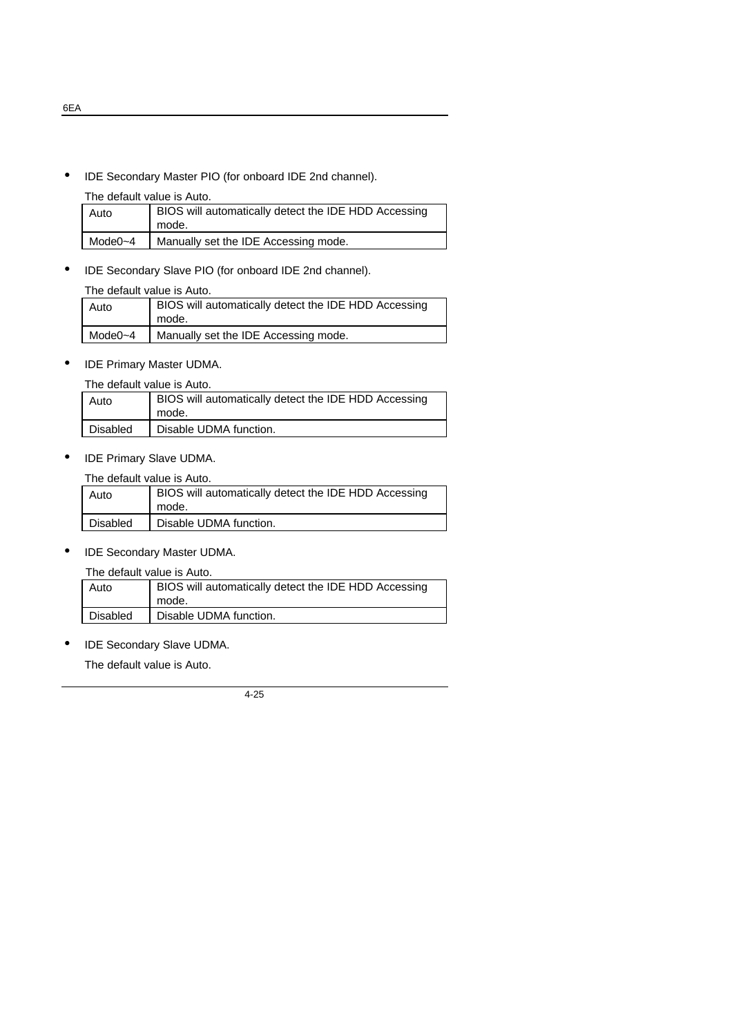• IDE Secondary Master PIO (for onboard IDE 2nd channel).

#### The default value is Auto.

| Auto    | BIOS will automatically detect the IDE HDD Accessing<br>mode. |
|---------|---------------------------------------------------------------|
| Mode0~4 | Manually set the IDE Accessing mode.                          |

• IDE Secondary Slave PIO (for onboard IDE 2nd channel).

#### The default value is Auto.

| Auto    | BIOS will automatically detect the IDE HDD Accessing<br>mode. |
|---------|---------------------------------------------------------------|
| Mode0~4 | Manually set the IDE Accessing mode.                          |
|         |                                                               |

• IDE Primary Master UDMA.

| The default value is Auto. |  |  |
|----------------------------|--|--|
|                            |  |  |

| Auto     | BIOS will automatically detect the IDE HDD Accessing<br>mode. |
|----------|---------------------------------------------------------------|
| Disabled | Disable UDMA function.                                        |

• IDE Primary Slave UDMA.

The default value is Auto.

| Auto     | BIOS will automatically detect the IDE HDD Accessing<br>mode. |
|----------|---------------------------------------------------------------|
| Disabled | Disable UDMA function.                                        |

• IDE Secondary Master UDMA.

The default value is Auto.

| Auto            | BIOS will automatically detect the IDE HDD Accessing<br>mode. |
|-----------------|---------------------------------------------------------------|
| <b>Disabled</b> | Disable UDMA function.                                        |

• IDE Secondary Slave UDMA.

The default value is Auto.

4-25

6EA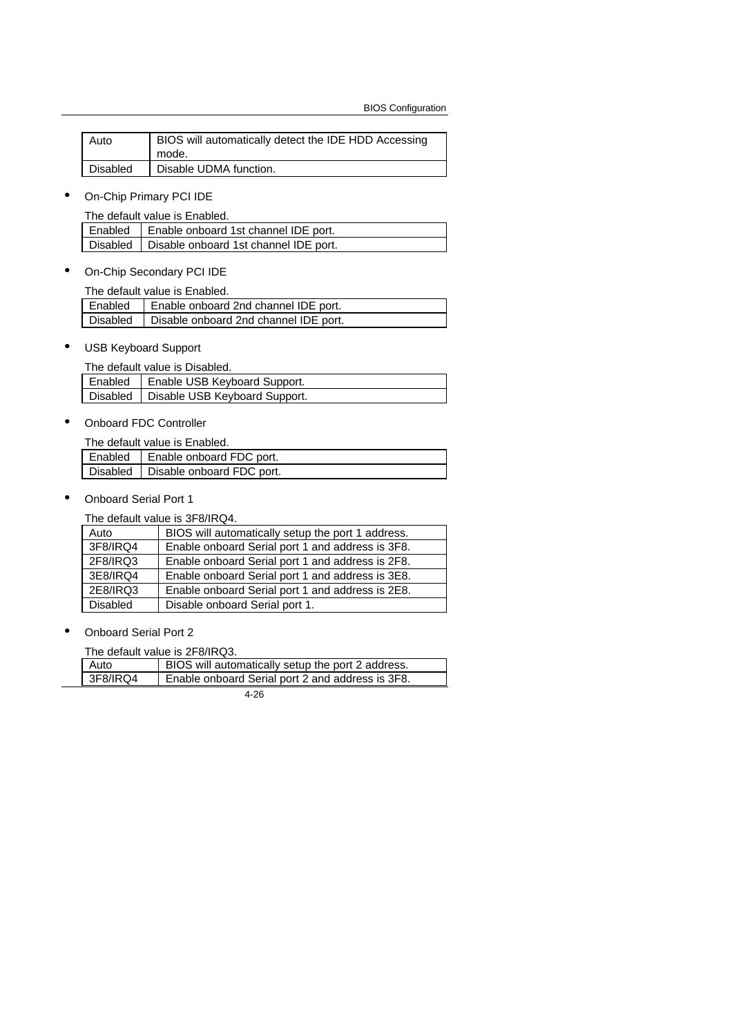| Auto     | BIOS will automatically detect the IDE HDD Accessing |
|----------|------------------------------------------------------|
|          | mode.                                                |
| Disabled | Disable UDMA function.                               |

• On-Chip Primary PCI IDE

The default value is Enabled.

|  | Enabled   Enable onboard 1st channel IDE port.   |  |
|--|--------------------------------------------------|--|
|  | Disabled   Disable onboard 1st channel IDE port. |  |

• On-Chip Secondary PCI IDE

|  | The default value is Enabled.                    |
|--|--------------------------------------------------|
|  | Enabled   Enable onboard 2nd channel IDE port.   |
|  | Disabled   Disable onboard 2nd channel IDE port. |

• USB Keyboard Support

|  | The default value is Disabled.           |
|--|------------------------------------------|
|  | Enabled   Enable USB Keyboard Support.   |
|  | Disabled   Disable USB Keyboard Support. |

• Onboard FDC Controller

The default value is Enabled.

| Enabled | Enable onboard FDC port.             |
|---------|--------------------------------------|
|         | Disabled   Disable onboard FDC port. |

• Onboard Serial Port 1

The default value is 3F8/IRQ4.

| Auto            | BIOS will automatically setup the port 1 address. |
|-----------------|---------------------------------------------------|
| 3F8/IRQ4        | Enable onboard Serial port 1 and address is 3F8.  |
| 2F8/IRQ3        | Enable onboard Serial port 1 and address is 2F8.  |
| 3E8/IRQ4        | Enable onboard Serial port 1 and address is 3E8.  |
| 2E8/IRQ3        | Enable onboard Serial port 1 and address is 2E8.  |
| <b>Disabled</b> | Disable onboard Serial port 1.                    |

• Onboard Serial Port 2

The default value is 2F8/IRQ3.

| Auto     | BIOS will automatically setup the port 2 address. |
|----------|---------------------------------------------------|
| 3F8/IRQ4 | Enable onboard Serial port 2 and address is 3F8.  |
|          | $\sim$ $\sim$                                     |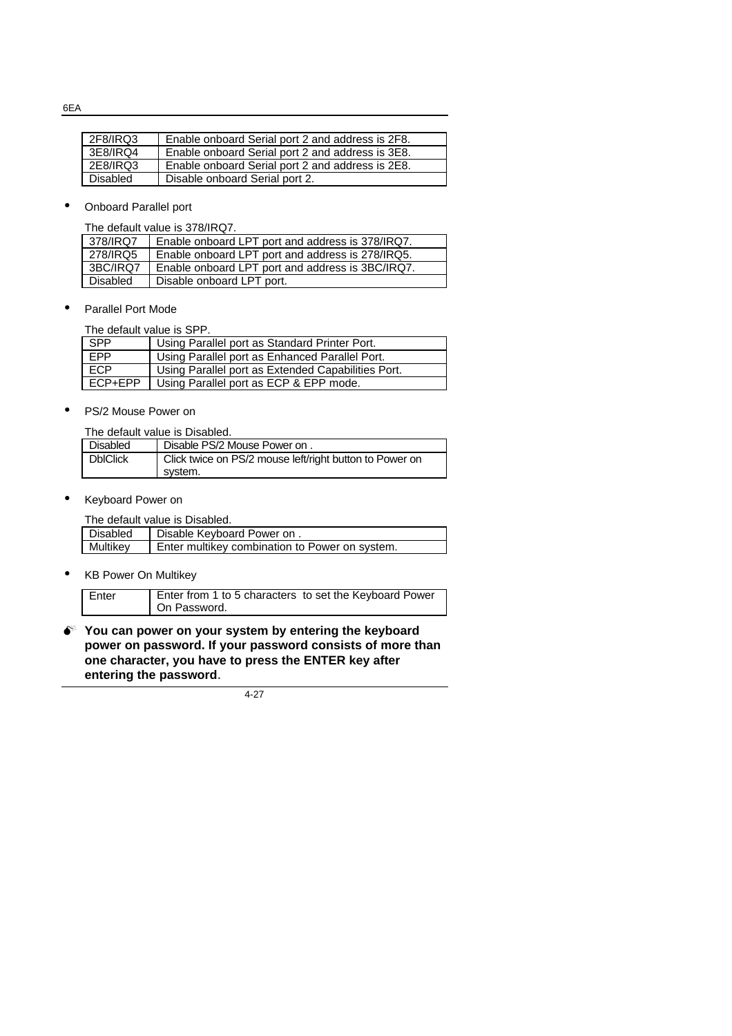6EA

| 2F8/IRQ3 | Enable onboard Serial port 2 and address is 2F8. |
|----------|--------------------------------------------------|
| 3E8/IRQ4 | Enable onboard Serial port 2 and address is 3E8. |
| 2E8/IRQ3 | Enable onboard Serial port 2 and address is 2E8. |
| Disabled | Disable onboard Serial port 2.                   |

• Onboard Parallel port

The default value is 378/IRQ7.

| 378/IRQ7        | Enable onboard LPT port and address is 378/IRQ7. |  |
|-----------------|--------------------------------------------------|--|
| 278/IRQ5        | Enable onboard LPT port and address is 278/IRQ5. |  |
| 3BC/IRQ7        | Enable onboard LPT port and address is 3BC/IRQ7. |  |
| <b>Disabled</b> | Disable onboard LPT port.                        |  |

• Parallel Port Mode

The default value is SPP.

| SPP        | Using Parallel port as Standard Printer Port.      |
|------------|----------------------------------------------------|
| EPP        | Using Parallel port as Enhanced Parallel Port.     |
| <b>ECP</b> | Using Parallel port as Extended Capabilities Port. |
| ECP+EPP    | Using Parallel port as ECP & EPP mode.             |

• PS/2 Mouse Power on

The default value is Disabled.

| <b>Disabled</b> | Disable PS/2 Mouse Power on.                                       |
|-----------------|--------------------------------------------------------------------|
| <b>DbIClick</b> | Click twice on PS/2 mouse left/right button to Power on<br>svstem. |

• Keyboard Power on

The default value is Disabled.

| Disabled | Disable Keyboard Power on.                     |  |
|----------|------------------------------------------------|--|
| Multikey | Enter multikey combination to Power on system. |  |
|          |                                                |  |

• KB Power On Multikey

| On Password. | Enter from 1 to 5 characters to set the Keyboard Power<br>Enter |
|--------------|-----------------------------------------------------------------|
|--------------|-----------------------------------------------------------------|

 $\bullet^*$  You can power on your system by entering the keyboard **power on password. If your password consists of more than one character, you have to press the ENTER key after entering the password**.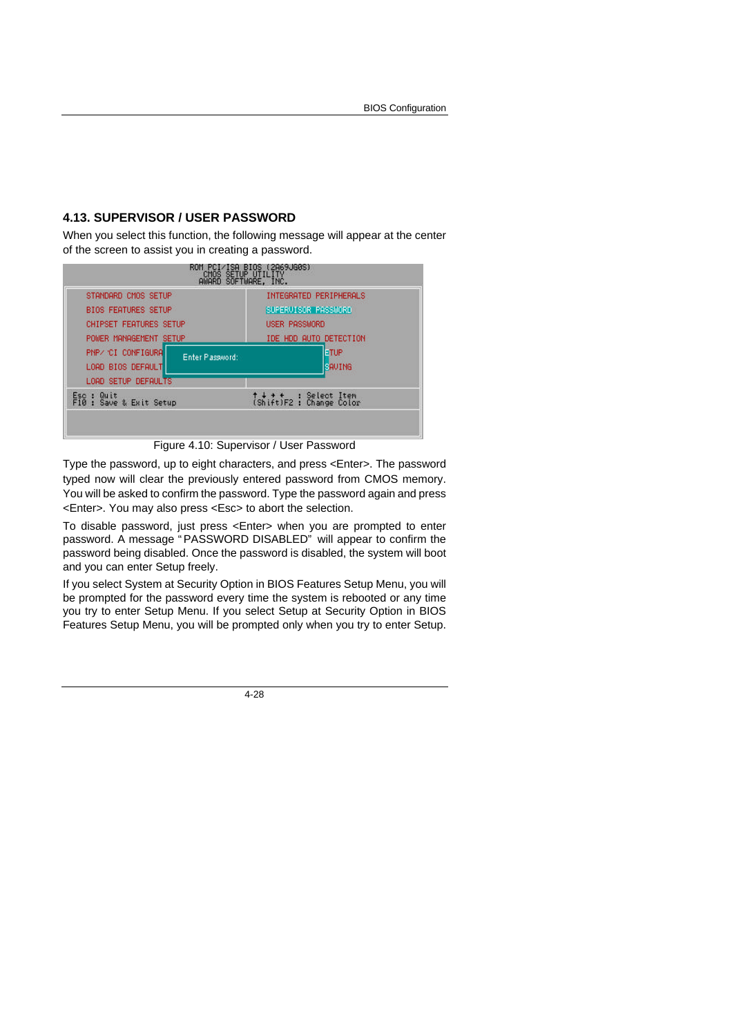## **4.13. SUPERVISOR / USER PASSWORD**

When you select this function, the following message will appear at the center of the screen to assist you in creating a password.

| STANDARD CMOS SETUP                                        | INTEGRATED PERIPHERALS             |  |  |
|------------------------------------------------------------|------------------------------------|--|--|
| <b>BIOS FEATURES SETUP</b>                                 | SUPERVISOR PASSWORD                |  |  |
| <b>CHIPSET FEATURES SETUP</b>                              | <b>USER PASSWORD</b>               |  |  |
| POWER MANAGEMENT SETUP                                     | IDE HDD AUTO DETECTION             |  |  |
| PNP/ CI CONFIGURA<br>Enter Plassword:<br>LOAD BIOS DEFAULT | ETUP<br><b>EAUTHG</b>              |  |  |
| <b>LOAD SETUP DEFAULTS</b>                                 |                                    |  |  |
| Quit<br>Esc :<br>F10 : Save & Exit Setup                   | ↑↓ + +<br>(Shift)F2 : Change Color |  |  |

Figure 4.10: Supervisor / User Password

Type the password, up to eight characters, and press <Enter>. The password typed now will clear the previously entered password from CMOS memory. You will be asked to confirm the password. Type the password again and press <Enter>. You may also press <Esc> to abort the selection.

To disable password, just press <Enter> when you are prompted to enter password. A message " PASSWORD DISABLED" will appear to confirm the password being disabled. Once the password is disabled, the system will boot and you can enter Setup freely.

If you select System at Security Option in BIOS Features Setup Menu, you will be prompted for the password every time the system is rebooted or any time you try to enter Setup Menu. If you select Setup at Security Option in BIOS Features Setup Menu, you will be prompted only when you try to enter Setup.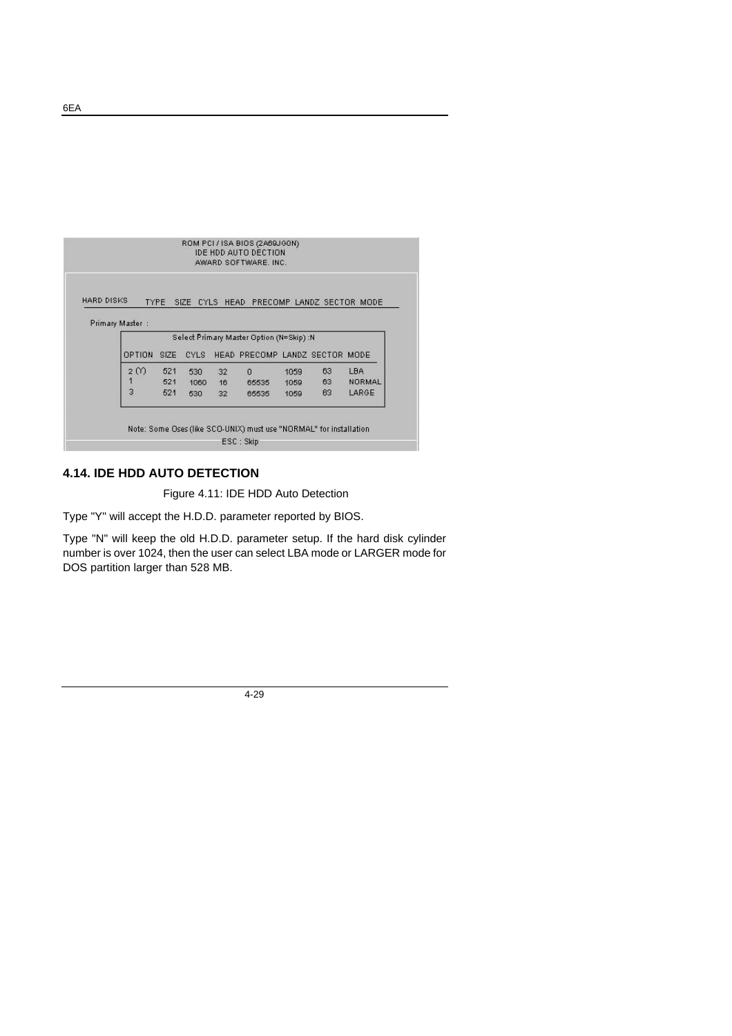|                   |                 |      |             |    | AWARD SOFTWARE, INC.                          |      |    |               |
|-------------------|-----------------|------|-------------|----|-----------------------------------------------|------|----|---------------|
|                   |                 |      |             |    |                                               |      |    |               |
| <b>HARD DISKS</b> |                 |      |             |    | TYPE SIZE CYLS HEAD PRECOMP LANDZ SECTOR MODE |      |    |               |
|                   |                 |      |             |    |                                               |      |    |               |
|                   | Primary Master: |      |             |    |                                               |      |    |               |
|                   |                 |      |             |    | Select Primary Master Option (N=Skip) :N      |      |    |               |
|                   | OPTION          | SIZE | <b>CYLS</b> |    | HEAD PRECOMP LANDZ SECTOR MODE                |      |    |               |
|                   | 2 M             | 521  | 530         | 32 | $\Omega$                                      | 1059 | 63 | <b>LBA</b>    |
|                   | 1               | 521  | 1060        | 16 | 65535                                         | 1059 | 63 | <b>NORMAL</b> |
|                   | 3               | 521  | 530         | 32 | 65535                                         | 1059 | 63 | LARGE         |
|                   |                 |      |             |    |                                               |      |    |               |

## **4.14. IDE HDD AUTO DETECTION**

Figure 4.11: IDE HDD Auto Detection

Type "Y" will accept the H.D.D. parameter reported by BIOS.

Type "N" will keep the old H.D.D. parameter setup. If the hard disk cylinder number is over 1024, then the user can select LBA mode or LARGER mode for DOS partition larger than 528 MB.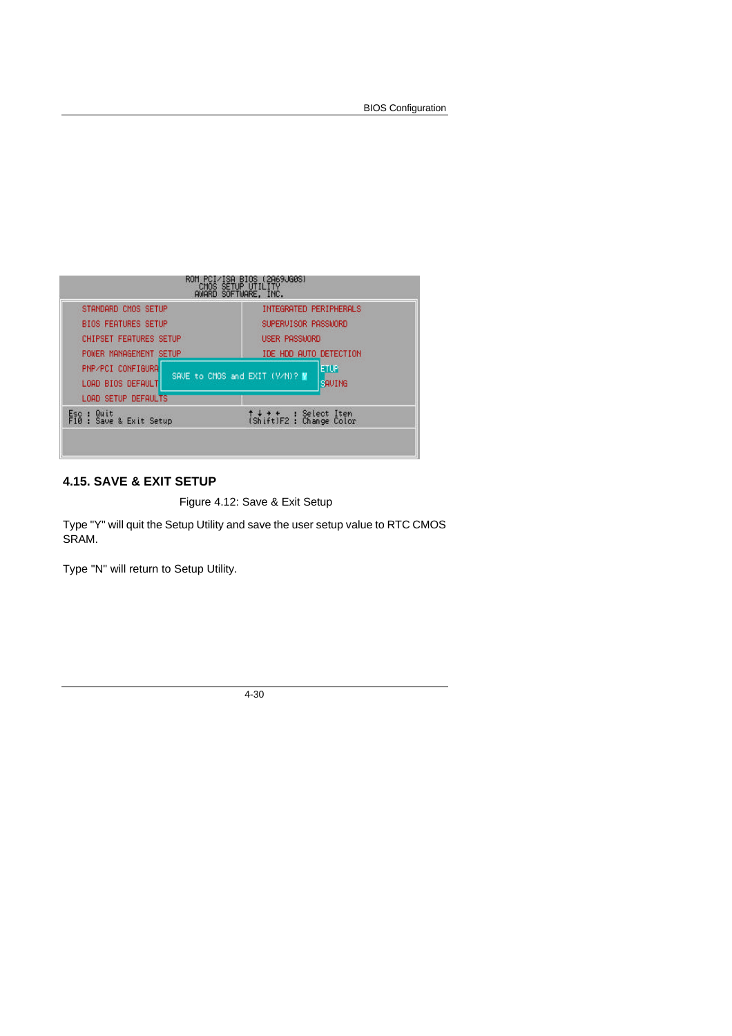BIOS Configuration

| STANDARD CMOS SETUP                    | INTEGRATED PERIPHERALS                                  |  |  |
|----------------------------------------|---------------------------------------------------------|--|--|
| <b>BIOS FEATURES SETUP</b>             | SUPERVISOR PASSWORD                                     |  |  |
| <b>CHIPSET FEATURES SETUP</b>          | USER PASSWORD                                           |  |  |
| POWER MANAGEMENT SETUP                 | IDE HDD AUTO DETECTION                                  |  |  |
| PNP/PCI CONFIGURA<br>LOAD BIOS DEFAULT | <b>ETUP</b><br>SAVE to CMOS and EXIT (Y/N)? M<br>SAVING |  |  |
| LOAD SETUP DEFAULTS                    |                                                         |  |  |
| Esc : Quit<br>F10 : Save & Exit Setup  | ↑↓ + +<br>(Shift)F2 : Change Color                      |  |  |

## **4.15. SAVE & EXIT SETUP**

Figure 4.12: Save & Exit Setup

Type "Y" will quit the Setup Utility and save the user setup value to RTC CMOS SRAM.

Type "N" will return to Setup Utility.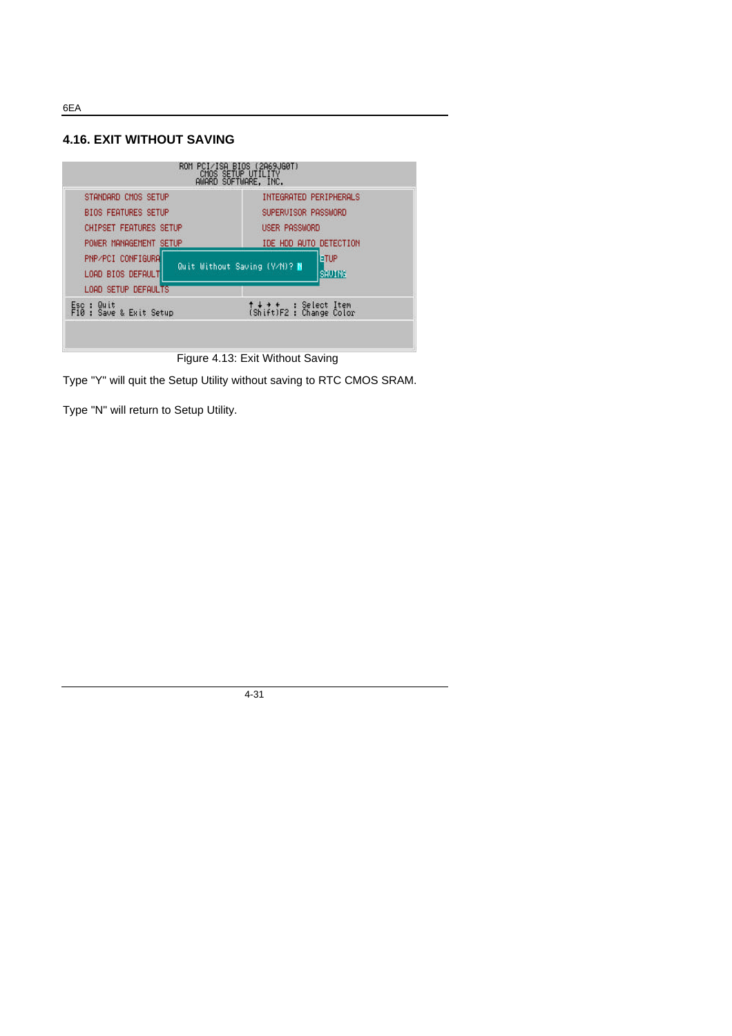**4.16. EXIT WITHOUT SAVING**



Figure 4.13: Exit Without Saving

Type "Y" will quit the Setup Utility without saving to RTC CMOS SRAM.

Type "N" will return to Setup Utility.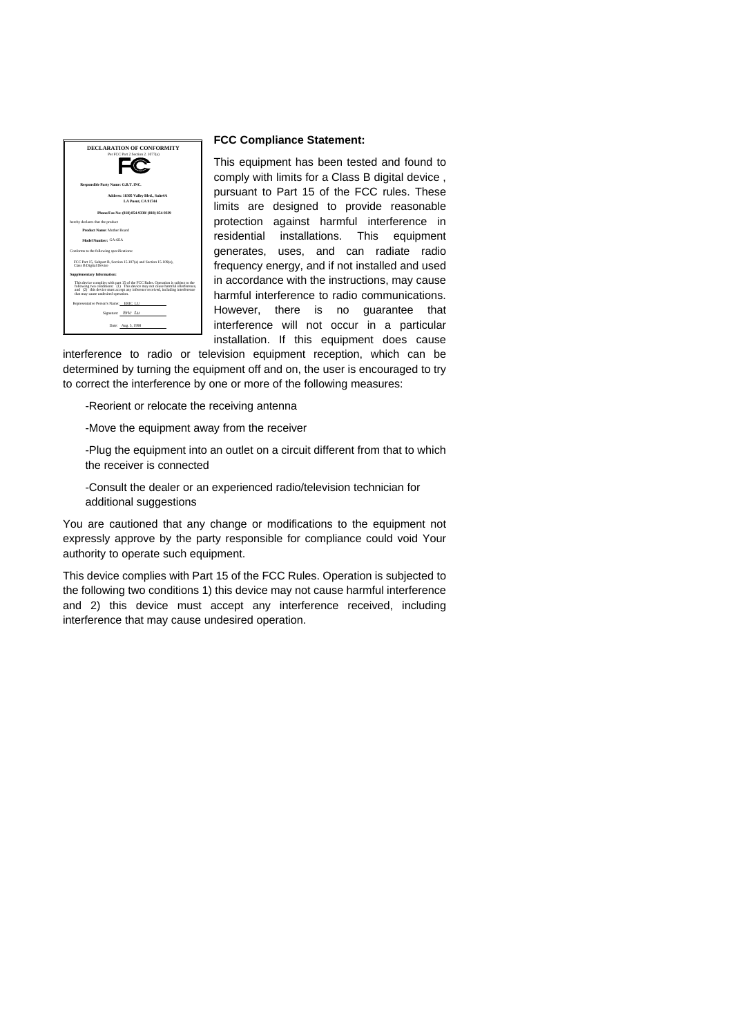

#### **FCC Compliance Statement:**

This equipment has been tested and found to comply with limits for a Class B digital device , pursuant to Part 15 of the FCC rules. These limits are designed to provide reasonable protection against harmful interference in residential installations. This equipment generates, uses, and can radiate radio frequency energy, and if not installed and used in accordance with the instructions, may cause harmful interference to radio communications. However, there is no guarantee that interference will not occur in a particular installation. If this equipment does cause

interference to radio or television equipment reception, which can be determined by turning the equipment off and on, the user is encouraged to try to correct the interference by one or more of the following measures:

-Reorient or relocate the receiving antenna

-Move the equipment away from the receiver

-Plug the equipment into an outlet on a circuit different from that to which the receiver is connected

-Consult the dealer or an experienced radio/television technician for additional suggestions

You are cautioned that any change or modifications to the equipment not expressly approve by the party responsible for compliance could void Your authority to operate such equipment.

This device complies with Part 15 of the FCC Rules. Operation is subjected to the following two conditions 1) this device may not cause harmful interference and 2) this device must accept any interference received, including interference that may cause undesired operation.